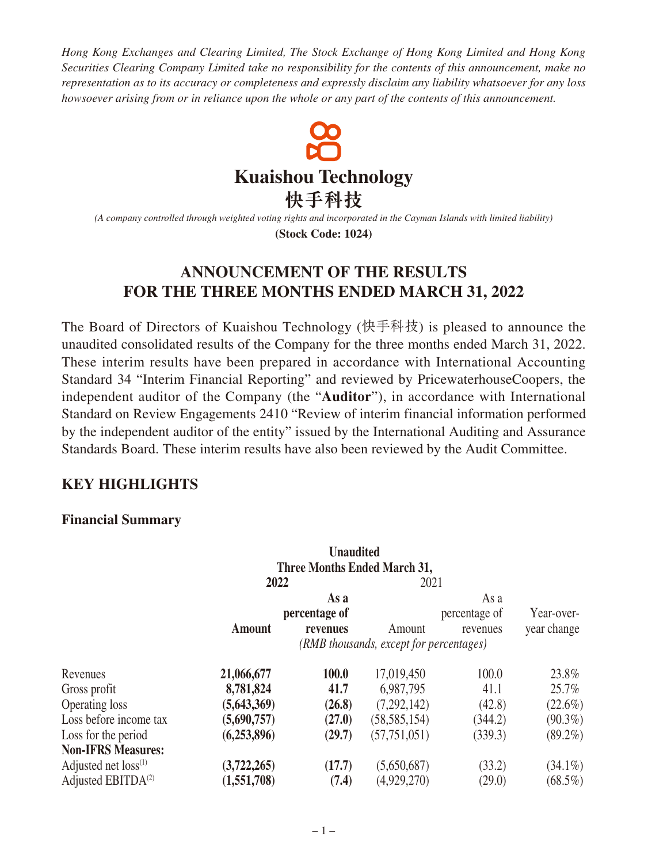*Hong Kong Exchanges and Clearing Limited, The Stock Exchange of Hong Kong Limited and Hong Kong Securities Clearing Company Limited take no responsibility for the contents of this announcement, make no representation as to its accuracy or completeness and expressly disclaim any liability whatsoever for any loss howsoever arising from or in reliance upon the whole or any part of the contents of this announcement.*



*(A company controlled through weighted voting rights and incorporated in the Cayman Islands with limited liability)* **(Stock Code: 1024)**

# **ANNOUNCEMENT OF THE RESULTS FOR THE THREE MONTHS ENDED MARCH 31, 2022**

The Board of Directors of Kuaishou Technology (快手科技) is pleased to announce the unaudited consolidated results of the Company for the three months ended March 31, 2022. These interim results have been prepared in accordance with International Accounting Standard 34 "Interim Financial Reporting" and reviewed by PricewaterhouseCoopers, the independent auditor of the Company (the "**Auditor**"), in accordance with International Standard on Review Engagements 2410 "Review of interim financial information performed by the independent auditor of the entity" issued by the International Auditing and Assurance Standards Board. These interim results have also been reviewed by the Audit Committee.

## **KEY HIGHLIGHTS**

#### **Financial Summary**

|                           |                                         | <b>Unaudited</b>                    |                |               |             |  |
|---------------------------|-----------------------------------------|-------------------------------------|----------------|---------------|-------------|--|
|                           |                                         | <b>Three Months Ended March 31,</b> |                |               |             |  |
|                           | 2022                                    |                                     | 2021           |               |             |  |
|                           |                                         | As a                                |                | As a          |             |  |
|                           |                                         | percentage of                       |                | percentage of | Year-over-  |  |
|                           | <b>Amount</b>                           | revenues                            | Amount         | revenues      | year change |  |
|                           | (RMB thousands, except for percentages) |                                     |                |               |             |  |
| Revenues                  | 21,066,677                              | 100.0                               | 17,019,450     | 100.0         | 23.8%       |  |
| Gross profit              | 8,781,824                               | 41.7                                | 6,987,795      | 41.1          | 25.7%       |  |
| Operating loss            | (5,643,369)                             | (26.8)                              | (7,292,142)    | (42.8)        | $(22.6\%)$  |  |
| Loss before income tax    | (5,690,757)                             | (27.0)                              | (58, 585, 154) | (344.2)       | $(90.3\%)$  |  |
| Loss for the period       | (6,253,896)                             | (29.7)                              | (57, 751, 051) | (339.3)       | $(89.2\%)$  |  |
| <b>Non-IFRS Measures:</b> |                                         |                                     |                |               |             |  |
| Adjusted net $loss^{(1)}$ | (3,722,265)                             | (17.7)                              | (5,650,687)    | (33.2)        | $(34.1\%)$  |  |
| Adjusted EBITD $A^{(2)}$  | (1,551,708)                             | (7.4)                               | (4,929,270)    | (29.0)        | $(68.5\%)$  |  |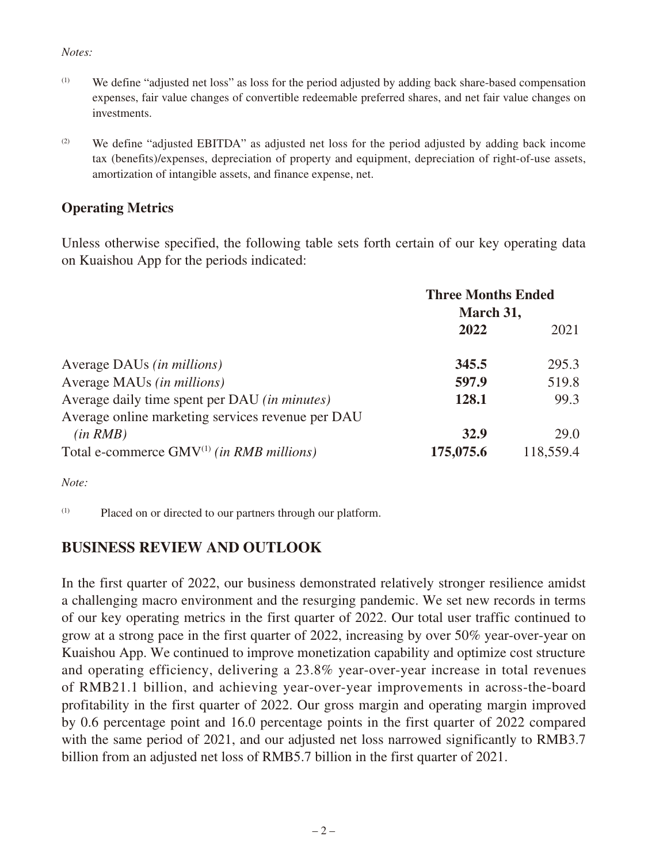#### *Notes:*

- (1) We define "adjusted net loss" as loss for the period adjusted by adding back share-based compensation expenses, fair value changes of convertible redeemable preferred shares, and net fair value changes on investments.
- $(2)$  We define "adjusted EBITDA" as adjusted net loss for the period adjusted by adding back income tax (benefits)/expenses, depreciation of property and equipment, depreciation of right-of-use assets, amortization of intangible assets, and finance expense, net.

## **Operating Metrics**

Unless otherwise specified, the following table sets forth certain of our key operating data on Kuaishou App for the periods indicated:

|                                                                                                                 | <b>Three Months Ended</b><br>March 31, |                   |
|-----------------------------------------------------------------------------------------------------------------|----------------------------------------|-------------------|
|                                                                                                                 | 2022                                   | 2021              |
| Average DAUs <i>(in millions)</i>                                                                               | 345.5                                  | 295.3             |
| Average MAUs (in millions)                                                                                      | 597.9                                  | 519.8             |
| Average daily time spent per DAU (in minutes)                                                                   | 128.1                                  | 99.3              |
| Average online marketing services revenue per DAU<br>(in RMB)<br>Total e-commerce $GMV^{(1)}$ (in RMB millions) | 32.9<br>175,075.6                      | 29.0<br>118,559.4 |

*Note:*

(1) Placed on or directed to our partners through our platform.

## **BUSINESS REVIEW AND OUTLOOK**

In the first quarter of 2022, our business demonstrated relatively stronger resilience amidst a challenging macro environment and the resurging pandemic. We set new records in terms of our key operating metrics in the first quarter of 2022. Our total user traffic continued to grow at a strong pace in the first quarter of 2022, increasing by over 50% year-over-year on Kuaishou App. We continued to improve monetization capability and optimize cost structure and operating efficiency, delivering a 23.8% year-over-year increase in total revenues of RMB21.1 billion, and achieving year-over-year improvements in across-the-board profitability in the first quarter of 2022. Our gross margin and operating margin improved by 0.6 percentage point and 16.0 percentage points in the first quarter of 2022 compared with the same period of 2021, and our adjusted net loss narrowed significantly to RMB3.7 billion from an adjusted net loss of RMB5.7 billion in the first quarter of 2021.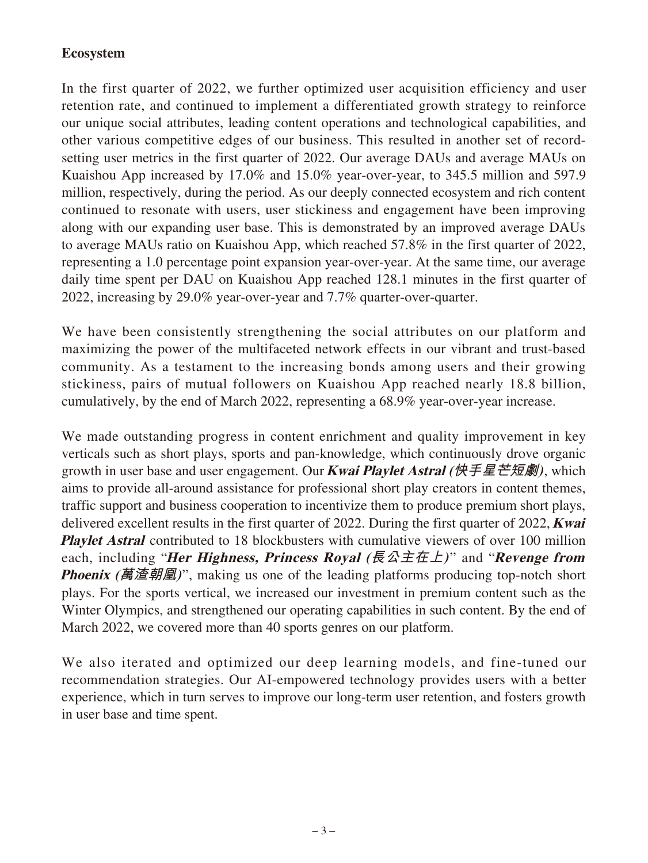## **Ecosystem**

In the first quarter of 2022, we further optimized user acquisition efficiency and user retention rate, and continued to implement a differentiated growth strategy to reinforce our unique social attributes, leading content operations and technological capabilities, and other various competitive edges of our business. This resulted in another set of recordsetting user metrics in the first quarter of 2022. Our average DAUs and average MAUs on Kuaishou App increased by 17.0% and 15.0% year-over-year, to 345.5 million and 597.9 million, respectively, during the period. As our deeply connected ecosystem and rich content continued to resonate with users, user stickiness and engagement have been improving along with our expanding user base. This is demonstrated by an improved average DAUs to average MAUs ratio on Kuaishou App, which reached 57.8% in the first quarter of 2022, representing a 1.0 percentage point expansion year-over-year. At the same time, our average daily time spent per DAU on Kuaishou App reached 128.1 minutes in the first quarter of 2022, increasing by 29.0% year-over-year and 7.7% quarter-over-quarter.

We have been consistently strengthening the social attributes on our platform and maximizing the power of the multifaceted network effects in our vibrant and trust-based community. As a testament to the increasing bonds among users and their growing stickiness, pairs of mutual followers on Kuaishou App reached nearly 18.8 billion, cumulatively, by the end of March 2022, representing a 68.9% year-over-year increase.

We made outstanding progress in content enrichment and quality improvement in key verticals such as short plays, sports and pan-knowledge, which continuously drove organic growth in user base and user engagement. Our **Kwai Playlet Astral (快手星芒短劇)**, which aims to provide all-around assistance for professional short play creators in content themes, traffic support and business cooperation to incentivize them to produce premium short plays, delivered excellent results in the first quarter of 2022. During the first quarter of 2022, **Kwai Playlet Astral** contributed to 18 blockbusters with cumulative viewers of over 100 million each, including "**Her Highness, Princess Royal (長公主在上)** " and "**Revenge from Phoenix (萬渣朝凰)**", making us one of the leading platforms producing top-notch short plays. For the sports vertical, we increased our investment in premium content such as the Winter Olympics, and strengthened our operating capabilities in such content. By the end of March 2022, we covered more than 40 sports genres on our platform.

We also iterated and optimized our deep learning models, and fine-tuned our recommendation strategies. Our AI-empowered technology provides users with a better experience, which in turn serves to improve our long-term user retention, and fosters growth in user base and time spent.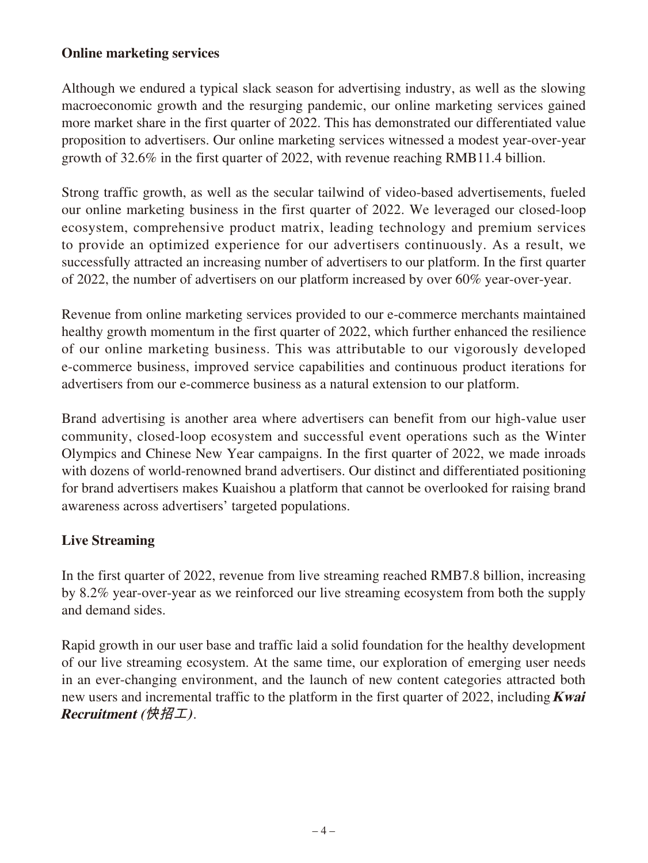## **Online marketing services**

Although we endured a typical slack season for advertising industry, as well as the slowing macroeconomic growth and the resurging pandemic, our online marketing services gained more market share in the first quarter of 2022. This has demonstrated our differentiated value proposition to advertisers. Our online marketing services witnessed a modest year-over-year growth of 32.6% in the first quarter of 2022, with revenue reaching RMB11.4 billion.

Strong traffic growth, as well as the secular tailwind of video-based advertisements, fueled our online marketing business in the first quarter of 2022. We leveraged our closed-loop ecosystem, comprehensive product matrix, leading technology and premium services to provide an optimized experience for our advertisers continuously. As a result, we successfully attracted an increasing number of advertisers to our platform. In the first quarter of 2022, the number of advertisers on our platform increased by over 60% year-over-year.

Revenue from online marketing services provided to our e-commerce merchants maintained healthy growth momentum in the first quarter of 2022, which further enhanced the resilience of our online marketing business. This was attributable to our vigorously developed e-commerce business, improved service capabilities and continuous product iterations for advertisers from our e-commerce business as a natural extension to our platform.

Brand advertising is another area where advertisers can benefit from our high-value user community, closed-loop ecosystem and successful event operations such as the Winter Olympics and Chinese New Year campaigns. In the first quarter of 2022, we made inroads with dozens of world-renowned brand advertisers. Our distinct and differentiated positioning for brand advertisers makes Kuaishou a platform that cannot be overlooked for raising brand awareness across advertisers' targeted populations.

## **Live Streaming**

In the first quarter of 2022, revenue from live streaming reached RMB7.8 billion, increasing by 8.2% year-over-year as we reinforced our live streaming ecosystem from both the supply and demand sides.

Rapid growth in our user base and traffic laid a solid foundation for the healthy development of our live streaming ecosystem. At the same time, our exploration of emerging user needs in an ever-changing environment, and the launch of new content categories attracted both new users and incremental traffic to the platform in the first quarter of 2022, including **Kwai Recruitment (快招工)**.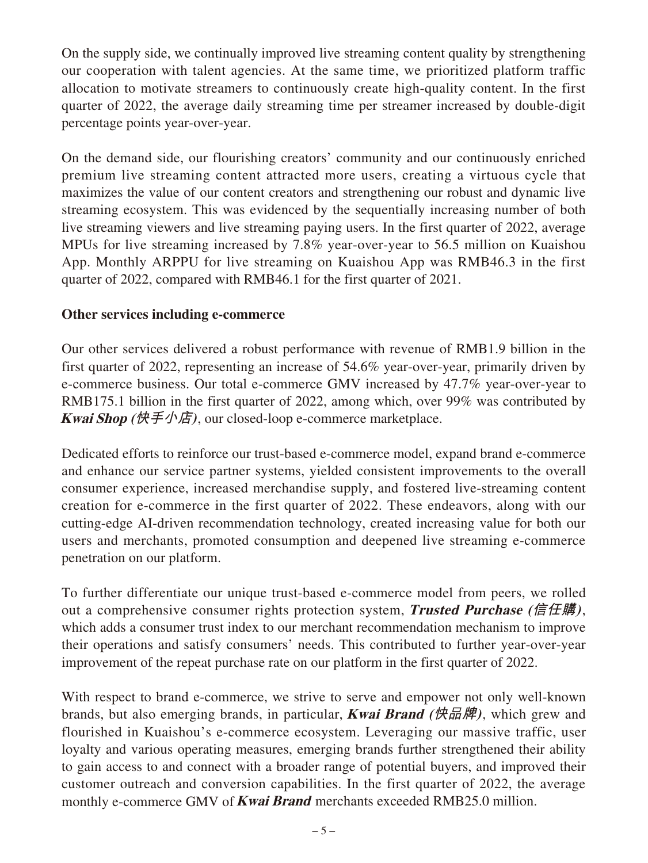On the supply side, we continually improved live streaming content quality by strengthening our cooperation with talent agencies. At the same time, we prioritized platform traffic allocation to motivate streamers to continuously create high-quality content. In the first quarter of 2022, the average daily streaming time per streamer increased by double-digit percentage points year-over-year.

On the demand side, our flourishing creators' community and our continuously enriched premium live streaming content attracted more users, creating a virtuous cycle that maximizes the value of our content creators and strengthening our robust and dynamic live streaming ecosystem. This was evidenced by the sequentially increasing number of both live streaming viewers and live streaming paying users. In the first quarter of 2022, average MPUs for live streaming increased by 7.8% year-over-year to 56.5 million on Kuaishou App. Monthly ARPPU for live streaming on Kuaishou App was RMB46.3 in the first quarter of 2022, compared with RMB46.1 for the first quarter of 2021.

### **Other services including e-commerce**

Our other services delivered a robust performance with revenue of RMB1.9 billion in the first quarter of 2022, representing an increase of 54.6% year-over-year, primarily driven by e-commerce business. Our total e-commerce GMV increased by 47.7% year-over-year to RMB175.1 billion in the first quarter of 2022, among which, over 99% was contributed by **Kwai Shop (快手小店)**, our closed-loop e-commerce marketplace.

Dedicated efforts to reinforce our trust-based e-commerce model, expand brand e-commerce and enhance our service partner systems, yielded consistent improvements to the overall consumer experience, increased merchandise supply, and fostered live-streaming content creation for e-commerce in the first quarter of 2022. These endeavors, along with our cutting-edge AI-driven recommendation technology, created increasing value for both our users and merchants, promoted consumption and deepened live streaming e-commerce penetration on our platform.

To further differentiate our unique trust-based e-commerce model from peers, we rolled out a comprehensive consumer rights protection system, **Trusted Purchase (信任購)**, which adds a consumer trust index to our merchant recommendation mechanism to improve their operations and satisfy consumers' needs. This contributed to further year-over-year improvement of the repeat purchase rate on our platform in the first quarter of 2022.

With respect to brand e-commerce, we strive to serve and empower not only well-known brands, but also emerging brands, in particular, **Kwai Brand (快品牌)**, which grew and flourished in Kuaishou's e-commerce ecosystem. Leveraging our massive traffic, user loyalty and various operating measures, emerging brands further strengthened their ability to gain access to and connect with a broader range of potential buyers, and improved their customer outreach and conversion capabilities. In the first quarter of 2022, the average monthly e-commerce GMV of **Kwai Brand** merchants exceeded RMB25.0 million.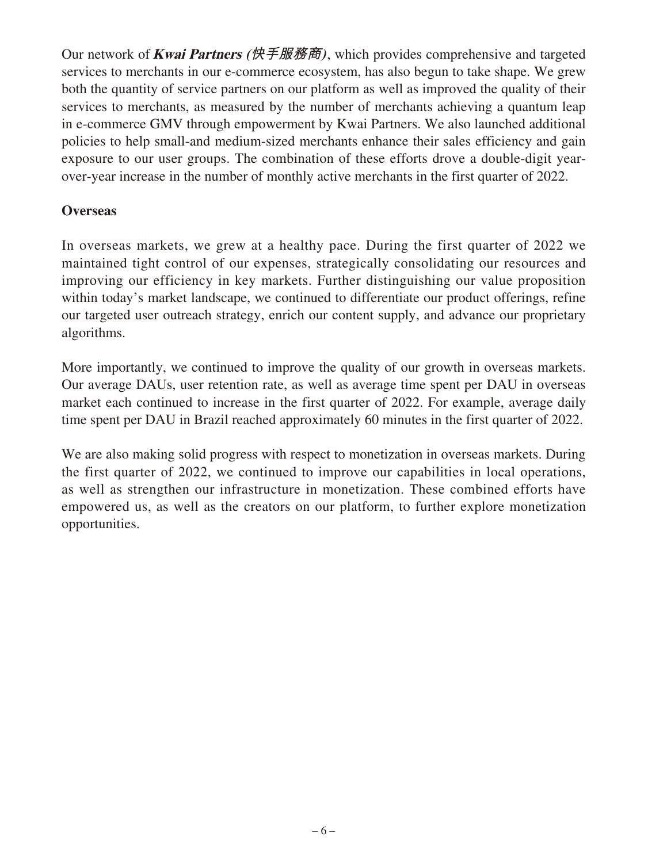Our network of **Kwai Partners (快手服務商)**, which provides comprehensive and targeted services to merchants in our e-commerce ecosystem, has also begun to take shape. We grew both the quantity of service partners on our platform as well as improved the quality of their services to merchants, as measured by the number of merchants achieving a quantum leap in e-commerce GMV through empowerment by Kwai Partners. We also launched additional policies to help small-and medium-sized merchants enhance their sales efficiency and gain exposure to our user groups. The combination of these efforts drove a double-digit yearover-year increase in the number of monthly active merchants in the first quarter of 2022.

### **Overseas**

In overseas markets, we grew at a healthy pace. During the first quarter of 2022 we maintained tight control of our expenses, strategically consolidating our resources and improving our efficiency in key markets. Further distinguishing our value proposition within today's market landscape, we continued to differentiate our product offerings, refine our targeted user outreach strategy, enrich our content supply, and advance our proprietary algorithms.

More importantly, we continued to improve the quality of our growth in overseas markets. Our average DAUs, user retention rate, as well as average time spent per DAU in overseas market each continued to increase in the first quarter of 2022. For example, average daily time spent per DAU in Brazil reached approximately 60 minutes in the first quarter of 2022.

We are also making solid progress with respect to monetization in overseas markets. During the first quarter of 2022, we continued to improve our capabilities in local operations, as well as strengthen our infrastructure in monetization. These combined efforts have empowered us, as well as the creators on our platform, to further explore monetization opportunities.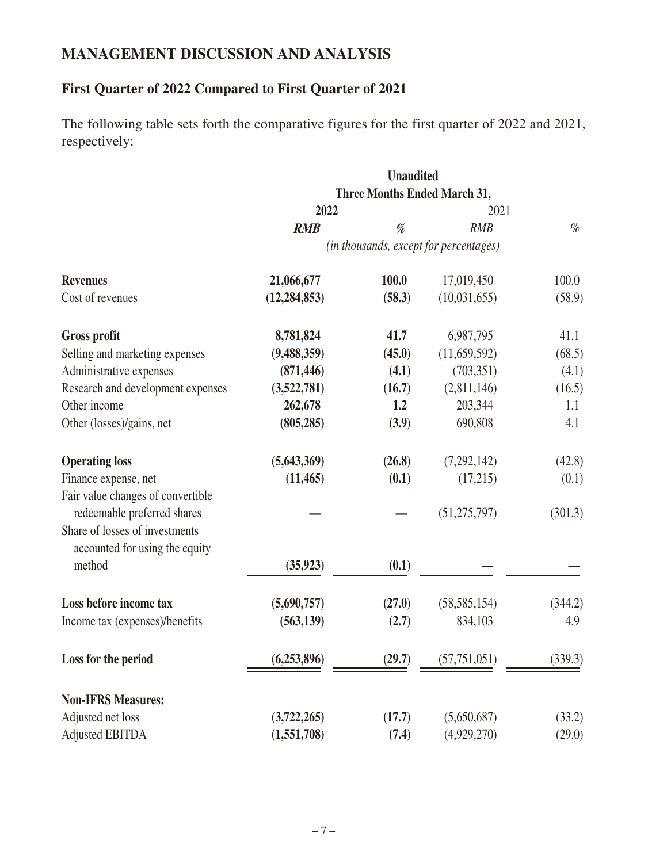## **MANAGEMENT DISCUSSION AND ANALYSIS**

# **First Quarter of 2022 Compared to First Quarter of 2021**

The following table sets forth the comparative figures for the first quarter of 2022 and 2021, respectively:

|                                                                  | <b>Unaudited</b><br>Three Months Ended March 31, |        |                                        |         |
|------------------------------------------------------------------|--------------------------------------------------|--------|----------------------------------------|---------|
|                                                                  |                                                  |        |                                        |         |
|                                                                  | 2022                                             |        | 2021                                   |         |
|                                                                  | <b>RMB</b>                                       | %      | <b>RMB</b>                             | $\%$    |
|                                                                  |                                                  |        | (in thousands, except for percentages) |         |
| <b>Revenues</b>                                                  | 21,066,677                                       | 100.0  | 17,019,450                             | 100.0   |
| Cost of revenues                                                 | (12, 284, 853)                                   | (58.3) | (10,031,655)                           | (58.9)  |
| <b>Gross profit</b>                                              | 8,781,824                                        | 41.7   | 6,987,795                              | 41.1    |
| Selling and marketing expenses                                   | (9,488,359)                                      | (45.0) | (11,659,592)                           | (68.5)  |
| Administrative expenses                                          | (871, 446)                                       | (4.1)  | (703, 351)                             | (4.1)   |
| Research and development expenses                                | (3,522,781)                                      | (16.7) | (2,811,146)                            | (16.5)  |
| Other income                                                     | 262,678                                          | 1.2    | 203,344                                | 1.1     |
| Other (losses)/gains, net                                        | (805, 285)                                       | (3.9)  | 690,808                                | 4.1     |
| <b>Operating loss</b>                                            | (5,643,369)                                      | (26.8) | (7,292,142)                            | (42.8)  |
| Finance expense, net                                             | (11, 465)                                        | (0.1)  | (17,215)                               | (0.1)   |
| Fair value changes of convertible                                |                                                  |        |                                        |         |
| redeemable preferred shares                                      |                                                  |        | (51, 275, 797)                         | (301.3) |
| Share of losses of investments<br>accounted for using the equity |                                                  |        |                                        |         |
| method                                                           | (35, 923)                                        | (0.1)  |                                        |         |
| Loss before income tax                                           | (5,690,757)                                      | (27.0) | (58, 585, 154)                         | (344.2) |
| Income tax (expenses)/benefits                                   | (563, 139)                                       | (2.7)  | 834,103                                | 4.9     |
| Loss for the period                                              | (6,253,896)                                      | (29.7) | (57, 751, 051)                         | (339.3) |
|                                                                  |                                                  |        |                                        |         |
| <b>Non-IFRS Measures:</b>                                        |                                                  |        |                                        |         |
| Adjusted net loss                                                | (3,722,265)                                      | (17.7) | (5,650,687)                            | (33.2)  |
| <b>Adjusted EBITDA</b>                                           | (1,551,708)                                      | (7.4)  | (4,929,270)                            | (29.0)  |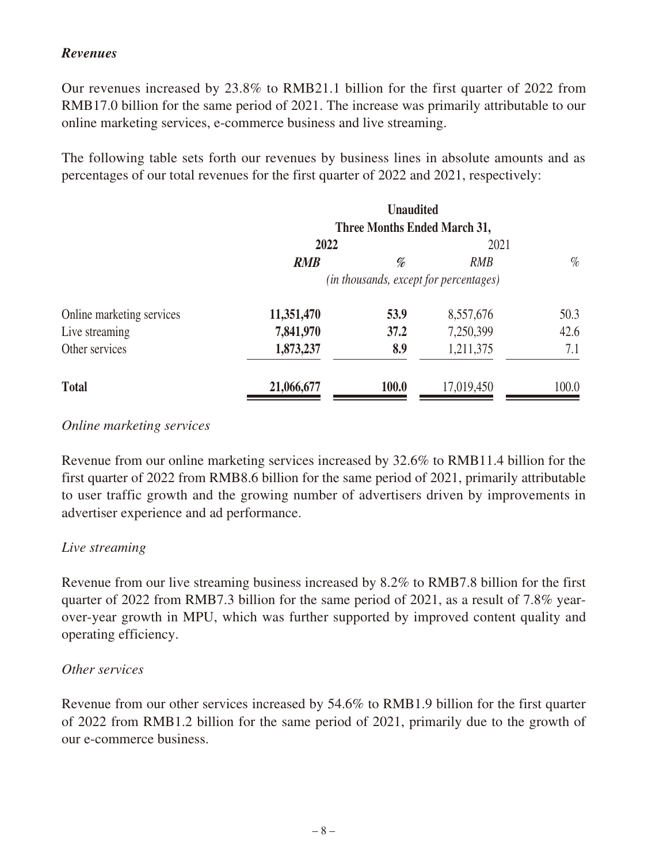## *Revenues*

Our revenues increased by 23.8% to RMB21.1 billion for the first quarter of 2022 from RMB17.0 billion for the same period of 2021. The increase was primarily attributable to our online marketing services, e-commerce business and live streaming.

The following table sets forth our revenues by business lines in absolute amounts and as percentages of our total revenues for the first quarter of 2022 and 2021, respectively:

|                           |                                        | <b>Unaudited</b>                    |            |       |
|---------------------------|----------------------------------------|-------------------------------------|------------|-------|
|                           |                                        | <b>Three Months Ended March 31,</b> |            |       |
|                           | 2022                                   |                                     | 2021       |       |
|                           | <b>RMB</b>                             | %                                   | <b>RMB</b> | $\%$  |
|                           | (in thousands, except for percentages) |                                     |            |       |
| Online marketing services | 11,351,470                             | 53.9                                | 8,557,676  | 50.3  |
| Live streaming            | 7,841,970                              | 37.2                                | 7,250,399  | 42.6  |
| Other services            | 1,873,237                              | 8.9                                 | 1,211,375  | 7.1   |
| <b>Total</b>              | 21,066,677                             | 100.0                               | 17,019,450 | 100.0 |

#### *Online marketing services*

Revenue from our online marketing services increased by 32.6% to RMB11.4 billion for the first quarter of 2022 from RMB8.6 billion for the same period of 2021, primarily attributable to user traffic growth and the growing number of advertisers driven by improvements in advertiser experience and ad performance.

### *Live streaming*

Revenue from our live streaming business increased by 8.2% to RMB7.8 billion for the first quarter of 2022 from RMB7.3 billion for the same period of 2021, as a result of 7.8% yearover-year growth in MPU, which was further supported by improved content quality and operating efficiency.

#### *Other services*

Revenue from our other services increased by 54.6% to RMB1.9 billion for the first quarter of 2022 from RMB1.2 billion for the same period of 2021, primarily due to the growth of our e-commerce business.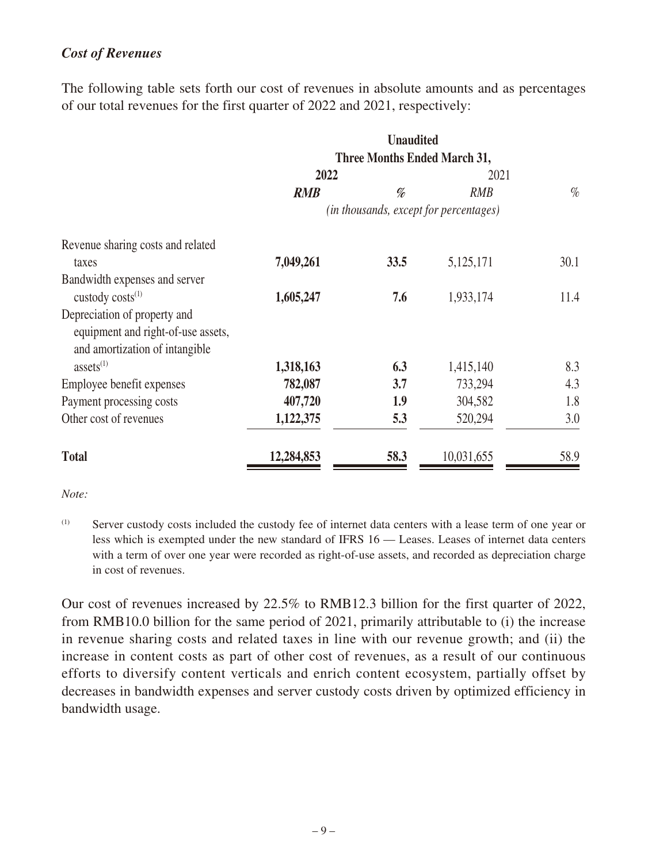## *Cost of Revenues*

The following table sets forth our cost of revenues in absolute amounts and as percentages of our total revenues for the first quarter of 2022 and 2021, respectively:

|                                    | <b>Unaudited</b><br><b>Three Months Ended March 31,</b> |      |            |      |
|------------------------------------|---------------------------------------------------------|------|------------|------|
|                                    |                                                         |      |            |      |
|                                    | 2022                                                    |      | 2021       |      |
|                                    | <b>RMB</b>                                              | %    | <b>RMB</b> | $\%$ |
|                                    | (in thousands, except for percentages)                  |      |            |      |
| Revenue sharing costs and related  |                                                         |      |            |      |
| taxes                              | 7,049,261                                               | 33.5 | 5,125,171  | 30.1 |
| Bandwidth expenses and server      |                                                         |      |            |      |
| custody costs <sup>(1)</sup>       | 1,605,247                                               | 7.6  | 1,933,174  | 11.4 |
| Depreciation of property and       |                                                         |      |            |      |
| equipment and right-of-use assets, |                                                         |      |            |      |
| and amortization of intangible     |                                                         |      |            |      |
| assets <sup>(1)</sup>              | 1,318,163                                               | 6.3  | 1,415,140  | 8.3  |
| Employee benefit expenses          | 782,087                                                 | 3.7  | 733,294    | 4.3  |
| Payment processing costs           | 407,720                                                 | 1.9  | 304,582    | 1.8  |
| Other cost of revenues             | 1,122,375                                               | 5.3  | 520,294    | 3.0  |
| <b>Total</b>                       | 12,284,853                                              | 58.3 | 10,031,655 | 58.9 |

*Note:*

(1) Server custody costs included the custody fee of internet data centers with a lease term of one year or less which is exempted under the new standard of IFRS 16 — Leases. Leases of internet data centers with a term of over one year were recorded as right-of-use assets, and recorded as depreciation charge in cost of revenues.

Our cost of revenues increased by 22.5% to RMB12.3 billion for the first quarter of 2022, from RMB10.0 billion for the same period of 2021, primarily attributable to (i) the increase in revenue sharing costs and related taxes in line with our revenue growth; and (ii) the increase in content costs as part of other cost of revenues, as a result of our continuous efforts to diversify content verticals and enrich content ecosystem, partially offset by decreases in bandwidth expenses and server custody costs driven by optimized efficiency in bandwidth usage.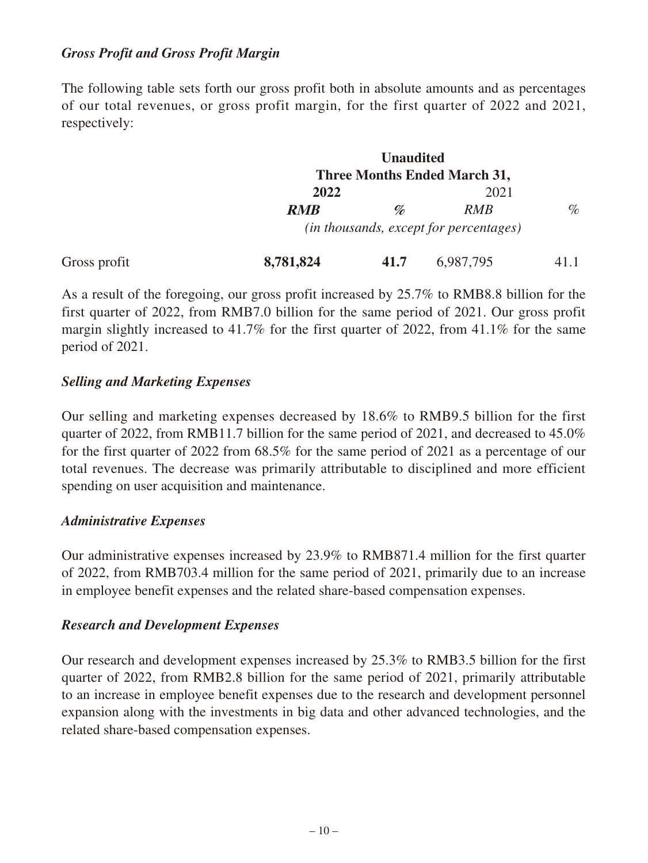### *Gross Profit and Gross Profit Margin*

The following table sets forth our gross profit both in absolute amounts and as percentages of our total revenues, or gross profit margin, for the first quarter of 2022 and 2021, respectively:

|              |            | <b>Unaudited</b>                |                                                 |      |
|--------------|------------|---------------------------------|-------------------------------------------------|------|
|              |            |                                 | <b>Three Months Ended March 31,</b>             |      |
|              | 2022       |                                 | 2021                                            |      |
|              | <b>RMB</b> | $\mathscr{D}_{\!\!\mathscr{D}}$ | <b>RMB</b>                                      | $\%$ |
|              |            |                                 | ( <i>in thousands, except for percentages</i> ) |      |
| Gross profit | 8,781,824  | 41.7                            | 6,987,795                                       |      |

As a result of the foregoing, our gross profit increased by 25.7% to RMB8.8 billion for the first quarter of 2022, from RMB7.0 billion for the same period of 2021. Our gross profit margin slightly increased to 41.7% for the first quarter of 2022, from 41.1% for the same period of 2021.

## *Selling and Marketing Expenses*

Our selling and marketing expenses decreased by 18.6% to RMB9.5 billion for the first quarter of 2022, from RMB11.7 billion for the same period of 2021, and decreased to 45.0% for the first quarter of 2022 from 68.5% for the same period of 2021 as a percentage of our total revenues. The decrease was primarily attributable to disciplined and more efficient spending on user acquisition and maintenance.

### *Administrative Expenses*

Our administrative expenses increased by 23.9% to RMB871.4 million for the first quarter of 2022, from RMB703.4 million for the same period of 2021, primarily due to an increase in employee benefit expenses and the related share-based compensation expenses.

### *Research and Development Expenses*

Our research and development expenses increased by 25.3% to RMB3.5 billion for the first quarter of 2022, from RMB2.8 billion for the same period of 2021, primarily attributable to an increase in employee benefit expenses due to the research and development personnel expansion along with the investments in big data and other advanced technologies, and the related share-based compensation expenses.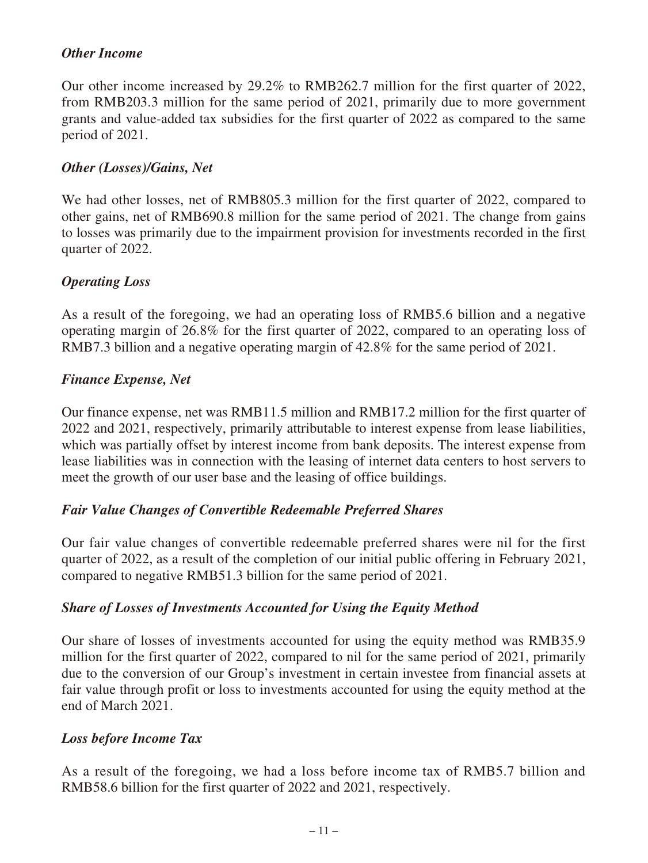### *Other Income*

Our other income increased by 29.2% to RMB262.7 million for the first quarter of 2022, from RMB203.3 million for the same period of 2021, primarily due to more government grants and value-added tax subsidies for the first quarter of 2022 as compared to the same period of 2021.

#### *Other (Losses)/Gains, Net*

We had other losses, net of RMB805.3 million for the first quarter of 2022, compared to other gains, net of RMB690.8 million for the same period of 2021. The change from gains to losses was primarily due to the impairment provision for investments recorded in the first quarter of 2022.

### *Operating Loss*

As a result of the foregoing, we had an operating loss of RMB5.6 billion and a negative operating margin of 26.8% for the first quarter of 2022, compared to an operating loss of RMB7.3 billion and a negative operating margin of 42.8% for the same period of 2021.

### *Finance Expense, Net*

Our finance expense, net was RMB11.5 million and RMB17.2 million for the first quarter of 2022 and 2021, respectively, primarily attributable to interest expense from lease liabilities, which was partially offset by interest income from bank deposits. The interest expense from lease liabilities was in connection with the leasing of internet data centers to host servers to meet the growth of our user base and the leasing of office buildings.

### *Fair Value Changes of Convertible Redeemable Preferred Shares*

Our fair value changes of convertible redeemable preferred shares were nil for the first quarter of 2022, as a result of the completion of our initial public offering in February 2021, compared to negative RMB51.3 billion for the same period of 2021.

### *Share of Losses of Investments Accounted for Using the Equity Method*

Our share of losses of investments accounted for using the equity method was RMB35.9 million for the first quarter of 2022, compared to nil for the same period of 2021, primarily due to the conversion of our Group's investment in certain investee from financial assets at fair value through profit or loss to investments accounted for using the equity method at the end of March 2021.

#### *Loss before Income Tax*

As a result of the foregoing, we had a loss before income tax of RMB5.7 billion and RMB58.6 billion for the first quarter of 2022 and 2021, respectively.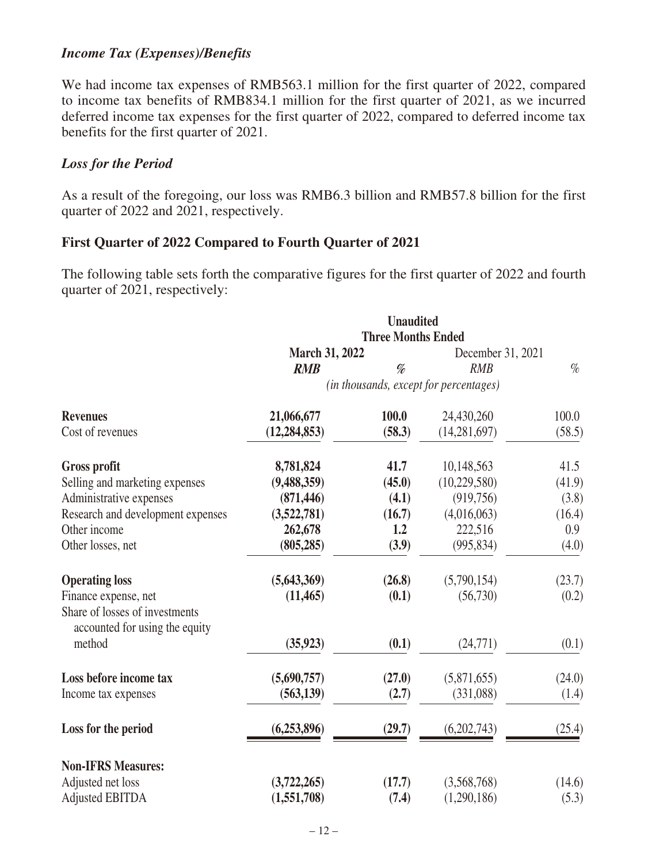#### *Income Tax (Expenses)/Benefits*

We had income tax expenses of RMB563.1 million for the first quarter of 2022, compared to income tax benefits of RMB834.1 million for the first quarter of 2021, as we incurred deferred income tax expenses for the first quarter of 2022, compared to deferred income tax benefits for the first quarter of 2021.

#### *Loss for the Period*

As a result of the foregoing, our loss was RMB6.3 billion and RMB57.8 billion for the first quarter of 2022 and 2021, respectively.

### **First Quarter of 2022 Compared to Fourth Quarter of 2021**

The following table sets forth the comparative figures for the first quarter of 2022 and fourth quarter of 2021, respectively:

|                                                                  | <b>Unaudited</b><br><b>Three Months Ended</b> |        |                                        |        |
|------------------------------------------------------------------|-----------------------------------------------|--------|----------------------------------------|--------|
|                                                                  |                                               |        |                                        |        |
|                                                                  | <b>March 31, 2022</b>                         |        | December 31, 2021                      |        |
|                                                                  | <b>RMB</b>                                    | %      | <b>RMB</b>                             | $\%$   |
|                                                                  |                                               |        | (in thousands, except for percentages) |        |
| <b>Revenues</b>                                                  | 21,066,677                                    | 100.0  | 24,430,260                             | 100.0  |
| Cost of revenues                                                 | (12, 284, 853)                                | (58.3) | (14, 281, 697)                         | (58.5) |
| <b>Gross profit</b>                                              | 8,781,824                                     | 41.7   | 10,148,563                             | 41.5   |
| Selling and marketing expenses                                   | (9,488,359)                                   | (45.0) | (10, 229, 580)                         | (41.9) |
| Administrative expenses                                          | (871, 446)                                    | (4.1)  | (919,756)                              | (3.8)  |
| Research and development expenses                                | (3,522,781)                                   | (16.7) | (4,016,063)                            | (16.4) |
| Other income                                                     | 262,678                                       | 1.2    | 222,516                                | 0.9    |
| Other losses, net                                                | (805, 285)                                    | (3.9)  | (995, 834)                             | (4.0)  |
| <b>Operating loss</b>                                            | (5,643,369)                                   | (26.8) | (5,790,154)                            | (23.7) |
| Finance expense, net                                             | (11, 465)                                     | (0.1)  | (56,730)                               | (0.2)  |
| Share of losses of investments<br>accounted for using the equity |                                               |        |                                        |        |
| method                                                           | (35, 923)                                     | (0.1)  | (24,771)                               | (0.1)  |
| Loss before income tax                                           | (5,690,757)                                   | (27.0) | (5,871,655)                            | (24.0) |
| Income tax expenses                                              | (563, 139)                                    | (2.7)  | (331,088)                              | (1.4)  |
| Loss for the period                                              | (6,253,896)                                   | (29.7) | (6,202,743)                            | (25.4) |
| <b>Non-IFRS Measures:</b>                                        |                                               |        |                                        |        |
| Adjusted net loss                                                | (3,722,265)                                   | (17.7) | (3,568,768)                            | (14.6) |
| <b>Adjusted EBITDA</b>                                           | (1,551,708)                                   | (7.4)  | (1,290,186)                            | (5.3)  |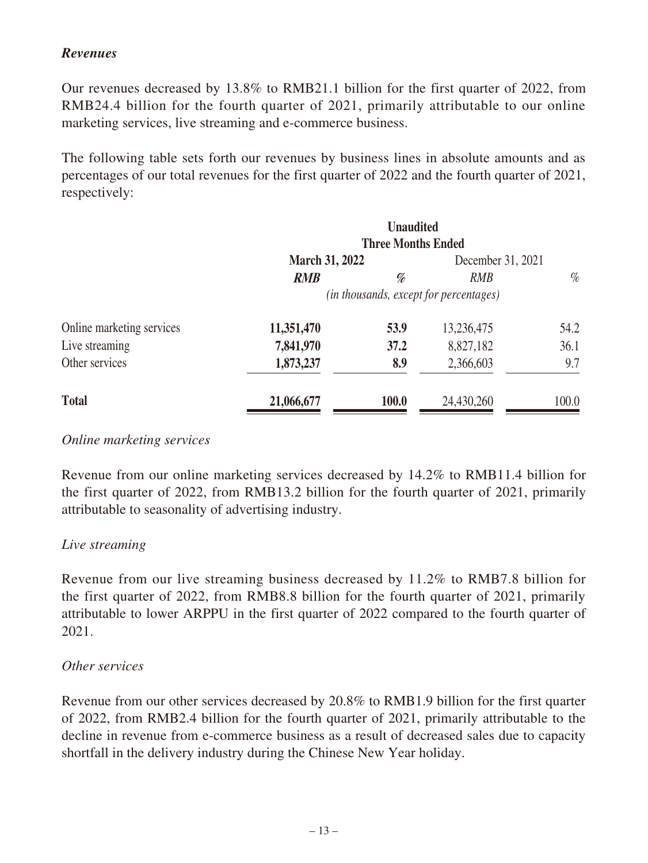## *Revenues*

Our revenues decreased by 13.8% to RMB21.1 billion for the first quarter of 2022, from RMB24.4 billion for the fourth quarter of 2021, primarily attributable to our online marketing services, live streaming and e-commerce business.

The following table sets forth our revenues by business lines in absolute amounts and as percentages of our total revenues for the first quarter of 2022 and the fourth quarter of 2021, respectively:

|                           |                                                                         | <b>Unaudited</b> |            |       |
|---------------------------|-------------------------------------------------------------------------|------------------|------------|-------|
|                           | <b>Three Months Ended</b><br><b>March 31, 2022</b><br>December 31, 2021 |                  |            |       |
|                           | <b>RMB</b>                                                              | %                | <b>RMB</b> | $\%$  |
|                           | (in thousands, except for percentages)                                  |                  |            |       |
| Online marketing services | 11,351,470                                                              | 53.9             | 13,236,475 | 54.2  |
| Live streaming            | 7,841,970                                                               | 37.2             | 8,827,182  | 36.1  |
| Other services            | 1,873,237                                                               | 8.9              | 2,366,603  | 9.7   |
| <b>Total</b>              | 21,066,677                                                              | <b>100.0</b>     | 24,430,260 | 100.0 |

### *Online marketing services*

Revenue from our online marketing services decreased by 14.2% to RMB11.4 billion for the first quarter of 2022, from RMB13.2 billion for the fourth quarter of 2021, primarily attributable to seasonality of advertising industry.

### *Live streaming*

Revenue from our live streaming business decreased by 11.2% to RMB7.8 billion for the first quarter of 2022, from RMB8.8 billion for the fourth quarter of 2021, primarily attributable to lower ARPPU in the first quarter of 2022 compared to the fourth quarter of 2021.

#### *Other services*

Revenue from our other services decreased by 20.8% to RMB1.9 billion for the first quarter of 2022, from RMB2.4 billion for the fourth quarter of 2021, primarily attributable to the decline in revenue from e-commerce business as a result of decreased sales due to capacity shortfall in the delivery industry during the Chinese New Year holiday.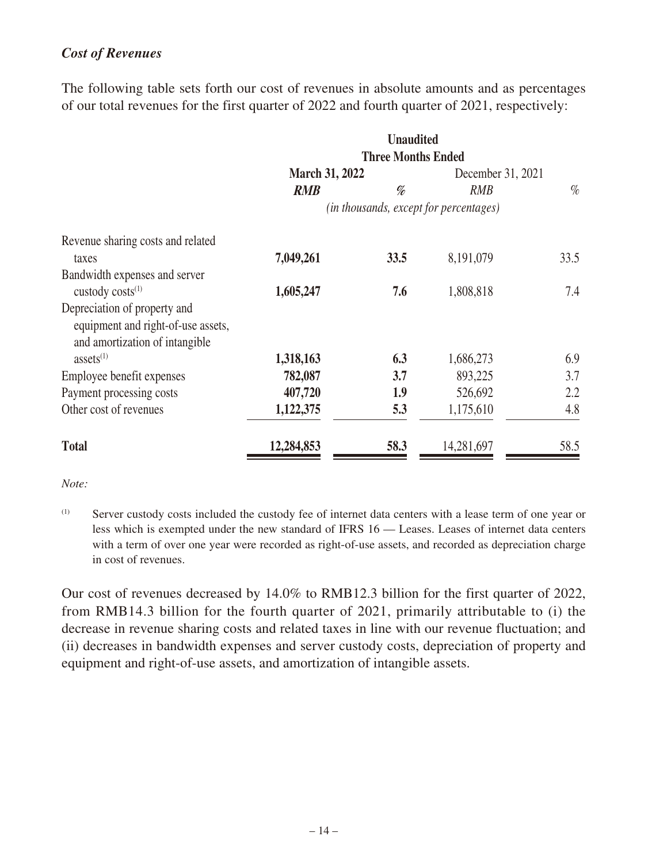## *Cost of Revenues*

The following table sets forth our cost of revenues in absolute amounts and as percentages of our total revenues for the first quarter of 2022 and fourth quarter of 2021, respectively:

|                                    |                                        | <b>Unaudited</b>          |                   |      |
|------------------------------------|----------------------------------------|---------------------------|-------------------|------|
|                                    |                                        | <b>Three Months Ended</b> |                   |      |
|                                    | <b>March 31, 2022</b>                  |                           | December 31, 2021 |      |
|                                    | <b>RMB</b>                             | %                         | <b>RMB</b>        | $\%$ |
|                                    | (in thousands, except for percentages) |                           |                   |      |
| Revenue sharing costs and related  |                                        |                           |                   |      |
| taxes                              | 7,049,261                              | 33.5                      | 8,191,079         | 33.5 |
| Bandwidth expenses and server      |                                        |                           |                   |      |
| custody costs <sup>(1)</sup>       | 1,605,247                              | 7.6                       | 1,808,818         | 7.4  |
| Depreciation of property and       |                                        |                           |                   |      |
| equipment and right-of-use assets, |                                        |                           |                   |      |
| and amortization of intangible     |                                        |                           |                   |      |
| assets $(1)$                       | 1,318,163                              | 6.3                       | 1,686,273         | 6.9  |
| Employee benefit expenses          | 782,087                                | 3.7                       | 893,225           | 3.7  |
| Payment processing costs           | 407,720                                | 1.9                       | 526,692           | 2.2  |
| Other cost of revenues             | 1,122,375                              | 5.3                       | 1,175,610         | 4.8  |
| <b>Total</b>                       | 12,284,853                             | 58.3                      | 14,281,697        | 58.5 |

*Note:*

Our cost of revenues decreased by 14.0% to RMB12.3 billion for the first quarter of 2022, from RMB14.3 billion for the fourth quarter of 2021, primarily attributable to (i) the decrease in revenue sharing costs and related taxes in line with our revenue fluctuation; and (ii) decreases in bandwidth expenses and server custody costs, depreciation of property and equipment and right-of-use assets, and amortization of intangible assets.

<sup>(1)</sup> Server custody costs included the custody fee of internet data centers with a lease term of one year or less which is exempted under the new standard of IFRS 16 — Leases. Leases of internet data centers with a term of over one year were recorded as right-of-use assets, and recorded as depreciation charge in cost of revenues.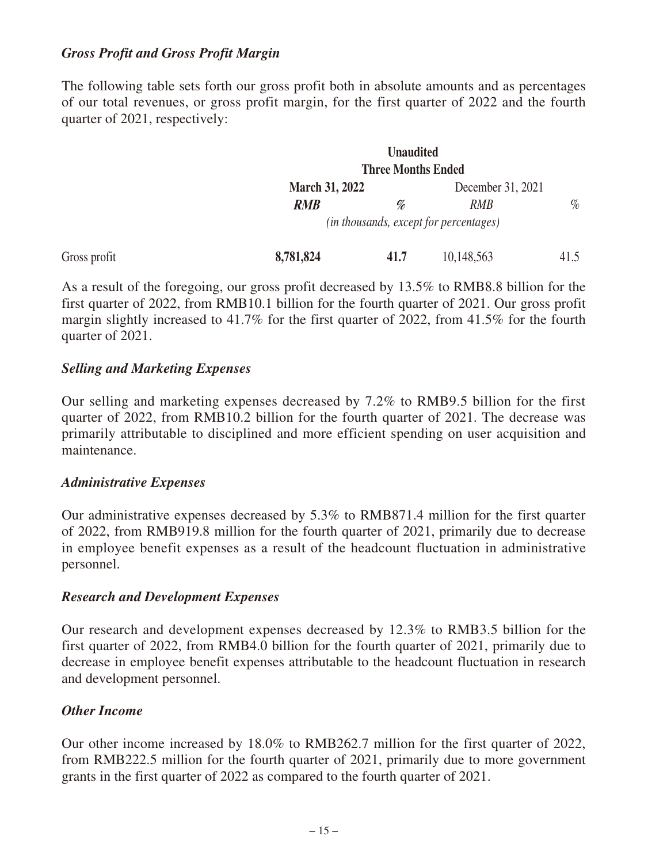#### *Gross Profit and Gross Profit Margin*

The following table sets forth our gross profit both in absolute amounts and as percentages of our total revenues, or gross profit margin, for the first quarter of 2022 and the fourth quarter of 2021, respectively:

|              |                       | <b>Unaudited</b>          |                                                 |      |
|--------------|-----------------------|---------------------------|-------------------------------------------------|------|
|              |                       | <b>Three Months Ended</b> |                                                 |      |
|              | <b>March 31, 2022</b> |                           | December 31, 2021                               |      |
|              | <b>RMB</b>            | %                         | <b>RMB</b>                                      | $\%$ |
|              |                       |                           | ( <i>in thousands, except for percentages</i> ) |      |
| Gross profit | 8,781,824             | 41.7                      | 10,148,563                                      | 41.5 |

As a result of the foregoing, our gross profit decreased by 13.5% to RMB8.8 billion for the first quarter of 2022, from RMB10.1 billion for the fourth quarter of 2021. Our gross profit margin slightly increased to 41.7% for the first quarter of 2022, from 41.5% for the fourth quarter of 2021.

#### *Selling and Marketing Expenses*

Our selling and marketing expenses decreased by 7.2% to RMB9.5 billion for the first quarter of 2022, from RMB10.2 billion for the fourth quarter of 2021. The decrease was primarily attributable to disciplined and more efficient spending on user acquisition and maintenance.

#### *Administrative Expenses*

Our administrative expenses decreased by 5.3% to RMB871.4 million for the first quarter of 2022, from RMB919.8 million for the fourth quarter of 2021, primarily due to decrease in employee benefit expenses as a result of the headcount fluctuation in administrative personnel.

#### *Research and Development Expenses*

Our research and development expenses decreased by 12.3% to RMB3.5 billion for the first quarter of 2022, from RMB4.0 billion for the fourth quarter of 2021, primarily due to decrease in employee benefit expenses attributable to the headcount fluctuation in research and development personnel.

### *Other Income*

Our other income increased by 18.0% to RMB262.7 million for the first quarter of 2022, from RMB222.5 million for the fourth quarter of 2021, primarily due to more government grants in the first quarter of 2022 as compared to the fourth quarter of 2021.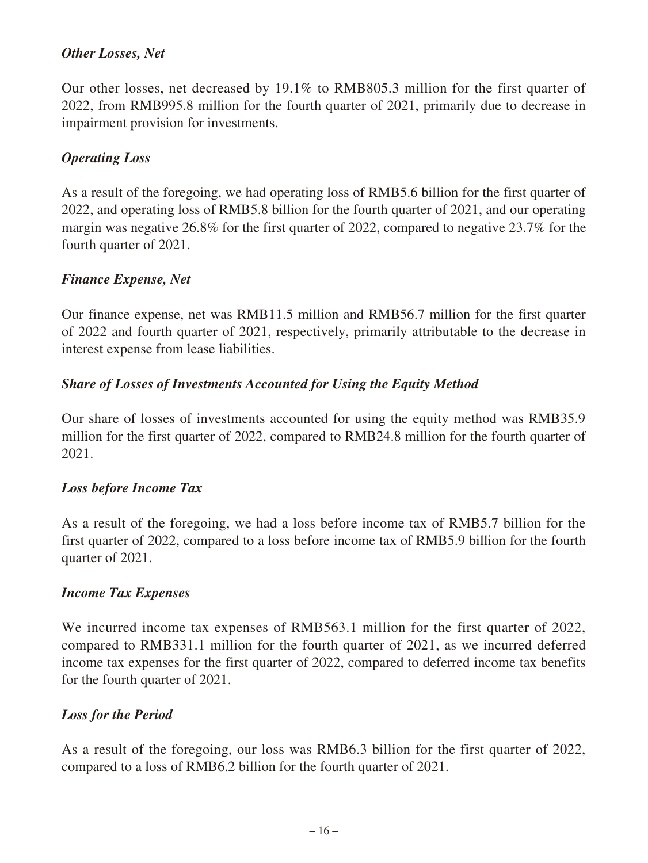## *Other Losses, Net*

Our other losses, net decreased by 19.1% to RMB805.3 million for the first quarter of 2022, from RMB995.8 million for the fourth quarter of 2021, primarily due to decrease in impairment provision for investments.

## *Operating Loss*

As a result of the foregoing, we had operating loss of RMB5.6 billion for the first quarter of 2022, and operating loss of RMB5.8 billion for the fourth quarter of 2021, and our operating margin was negative 26.8% for the first quarter of 2022, compared to negative 23.7% for the fourth quarter of 2021.

### *Finance Expense, Net*

Our finance expense, net was RMB11.5 million and RMB56.7 million for the first quarter of 2022 and fourth quarter of 2021, respectively, primarily attributable to the decrease in interest expense from lease liabilities.

## *Share of Losses of Investments Accounted for Using the Equity Method*

Our share of losses of investments accounted for using the equity method was RMB35.9 million for the first quarter of 2022, compared to RMB24.8 million for the fourth quarter of 2021.

### *Loss before Income Tax*

As a result of the foregoing, we had a loss before income tax of RMB5.7 billion for the first quarter of 2022, compared to a loss before income tax of RMB5.9 billion for the fourth quarter of 2021.

### *Income Tax Expenses*

We incurred income tax expenses of RMB563.1 million for the first quarter of 2022, compared to RMB331.1 million for the fourth quarter of 2021, as we incurred deferred income tax expenses for the first quarter of 2022, compared to deferred income tax benefits for the fourth quarter of 2021.

### *Loss for the Period*

As a result of the foregoing, our loss was RMB6.3 billion for the first quarter of 2022, compared to a loss of RMB6.2 billion for the fourth quarter of 2021.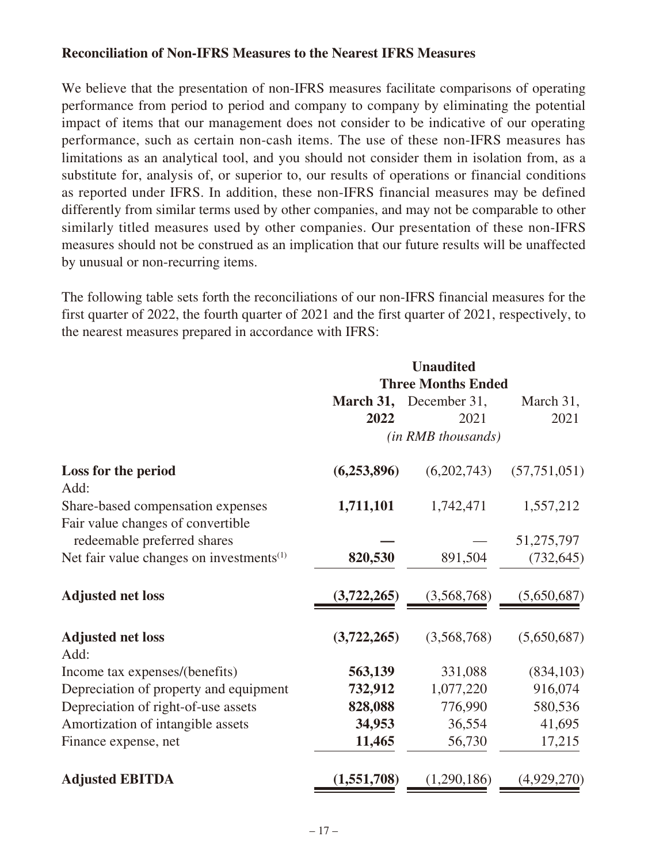#### **Reconciliation of Non-IFRS Measures to the Nearest IFRS Measures**

We believe that the presentation of non-IFRS measures facilitate comparisons of operating performance from period to period and company to company by eliminating the potential impact of items that our management does not consider to be indicative of our operating performance, such as certain non-cash items. The use of these non-IFRS measures has limitations as an analytical tool, and you should not consider them in isolation from, as a substitute for, analysis of, or superior to, our results of operations or financial conditions as reported under IFRS. In addition, these non-IFRS financial measures may be defined differently from similar terms used by other companies, and may not be comparable to other similarly titled measures used by other companies. Our presentation of these non-IFRS measures should not be construed as an implication that our future results will be unaffected by unusual or non-recurring items.

The following table sets forth the reconciliations of our non-IFRS financial measures for the first quarter of 2022, the fourth quarter of 2021 and the first quarter of 2021, respectively, to the nearest measures prepared in accordance with IFRS:

|                                                      |             | <b>Unaudited</b>          |                |
|------------------------------------------------------|-------------|---------------------------|----------------|
|                                                      |             | <b>Three Months Ended</b> |                |
|                                                      |             | March 31, December 31,    | March 31,      |
|                                                      | 2022        | 2021                      | 2021           |
|                                                      |             | (in RMB thousands)        |                |
| Loss for the period<br>Add:                          | (6,253,896) | (6,202,743)               | (57, 751, 051) |
| Share-based compensation expenses                    | 1,711,101   | 1,742,471                 | 1,557,212      |
| Fair value changes of convertible                    |             |                           |                |
| redeemable preferred shares                          |             |                           | 51,275,797     |
| Net fair value changes on investments <sup>(1)</sup> | 820,530     | 891,504                   | (732, 645)     |
| <b>Adjusted net loss</b>                             | (3,722,265) | (3,568,768)               | (5,650,687)    |
| <b>Adjusted net loss</b><br>Add:                     | (3,722,265) | (3,568,768)               | (5,650,687)    |
| Income tax expenses/(benefits)                       | 563,139     | 331,088                   | (834, 103)     |
| Depreciation of property and equipment               | 732,912     | 1,077,220                 | 916,074        |
| Depreciation of right-of-use assets                  | 828,088     | 776,990                   | 580,536        |
| Amortization of intangible assets                    | 34,953      | 36,554                    | 41,695         |
| Finance expense, net                                 | 11,465      | 56,730                    | 17,215         |
| <b>Adjusted EBITDA</b>                               | (1,551,708) | (1,290,186)               | (4,929,270)    |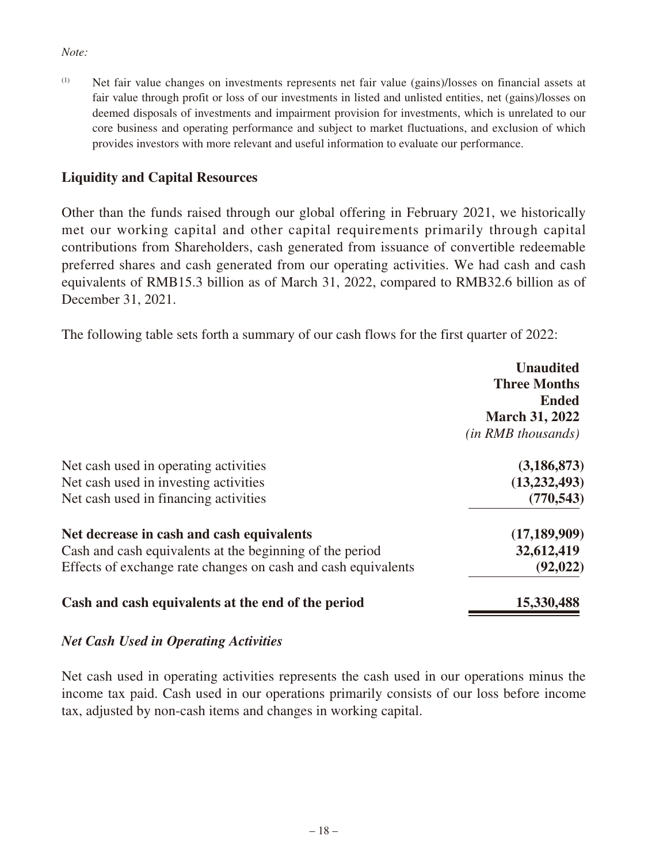#### *Note:*

(1) Net fair value changes on investments represents net fair value (gains)/losses on financial assets at fair value through profit or loss of our investments in listed and unlisted entities, net (gains)/losses on deemed disposals of investments and impairment provision for investments, which is unrelated to our core business and operating performance and subject to market fluctuations, and exclusion of which provides investors with more relevant and useful information to evaluate our performance.

### **Liquidity and Capital Resources**

Other than the funds raised through our global offering in February 2021, we historically met our working capital and other capital requirements primarily through capital contributions from Shareholders, cash generated from issuance of convertible redeemable preferred shares and cash generated from our operating activities. We had cash and cash equivalents of RMB15.3 billion as of March 31, 2022, compared to RMB32.6 billion as of December 31, 2021.

The following table sets forth a summary of our cash flows for the first quarter of 2022:

|                                                               | <b>Unaudited</b><br><b>Three Months</b><br><b>Ended</b><br><b>March 31, 2022</b> |
|---------------------------------------------------------------|----------------------------------------------------------------------------------|
|                                                               | <i>(in RMB thousands)</i>                                                        |
| Net cash used in operating activities                         | (3, 186, 873)                                                                    |
| Net cash used in investing activities                         | (13, 232, 493)                                                                   |
| Net cash used in financing activities                         | (770, 543)                                                                       |
| Net decrease in cash and cash equivalents                     | (17, 189, 909)                                                                   |
| Cash and cash equivalents at the beginning of the period      | 32,612,419                                                                       |
| Effects of exchange rate changes on cash and cash equivalents | (92, 022)                                                                        |
| Cash and cash equivalents at the end of the period            | 15,330,488                                                                       |

### *Net Cash Used in Operating Activities*

Net cash used in operating activities represents the cash used in our operations minus the income tax paid. Cash used in our operations primarily consists of our loss before income tax, adjusted by non-cash items and changes in working capital.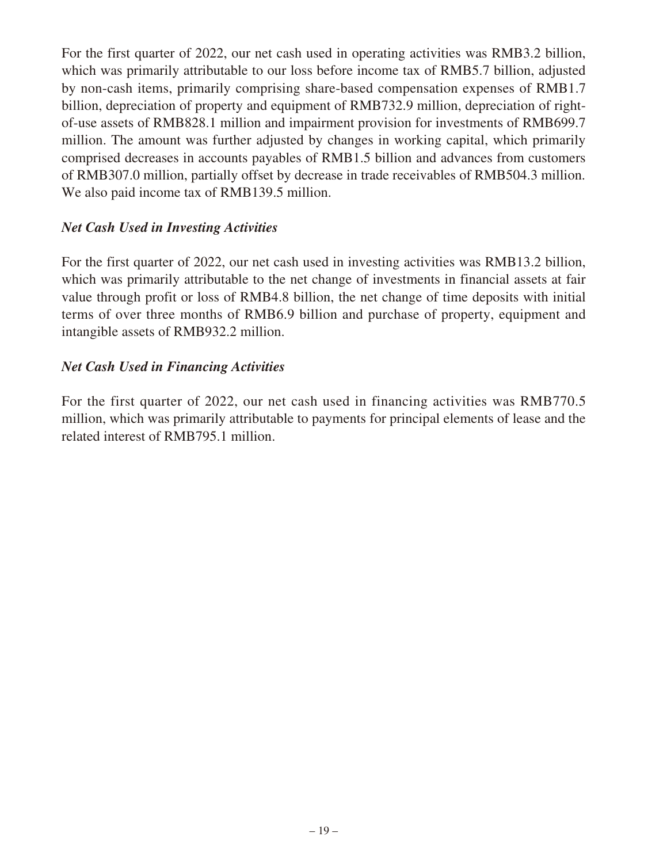For the first quarter of 2022, our net cash used in operating activities was RMB3.2 billion, which was primarily attributable to our loss before income tax of RMB5.7 billion, adjusted by non-cash items, primarily comprising share-based compensation expenses of RMB1.7 billion, depreciation of property and equipment of RMB732.9 million, depreciation of rightof-use assets of RMB828.1 million and impairment provision for investments of RMB699.7 million. The amount was further adjusted by changes in working capital, which primarily comprised decreases in accounts payables of RMB1.5 billion and advances from customers of RMB307.0 million, partially offset by decrease in trade receivables of RMB504.3 million. We also paid income tax of RMB139.5 million.

### *Net Cash Used in Investing Activities*

For the first quarter of 2022, our net cash used in investing activities was RMB13.2 billion, which was primarily attributable to the net change of investments in financial assets at fair value through profit or loss of RMB4.8 billion, the net change of time deposits with initial terms of over three months of RMB6.9 billion and purchase of property, equipment and intangible assets of RMB932.2 million.

### *Net Cash Used in Financing Activities*

For the first quarter of 2022, our net cash used in financing activities was RMB770.5 million, which was primarily attributable to payments for principal elements of lease and the related interest of RMB795.1 million.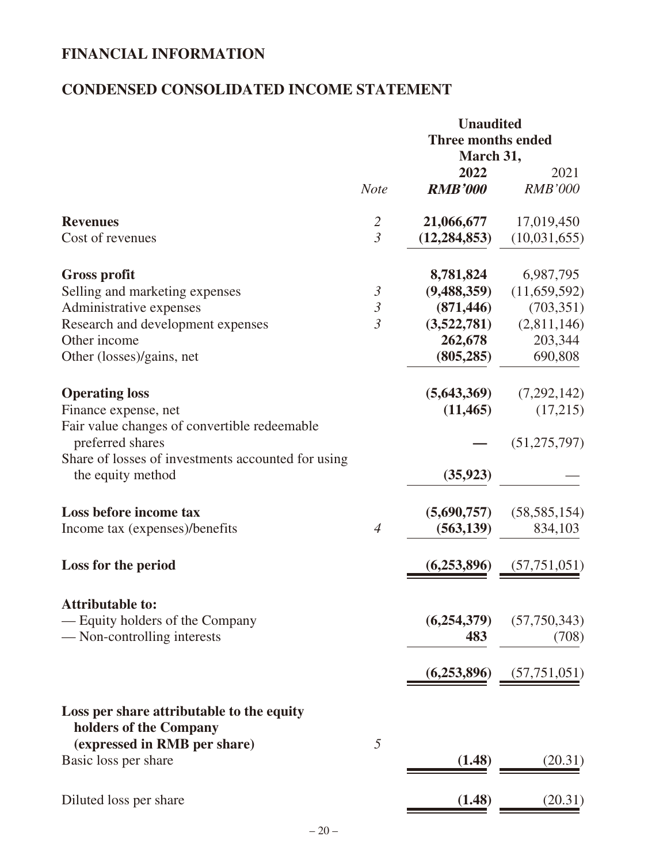# **FINANCIAL INFORMATION**

# **CONDENSED CONSOLIDATED INCOME STATEMENT**

|                                                                                                     |                | <b>Unaudited</b><br><b>Three months ended</b> |                           |
|-----------------------------------------------------------------------------------------------------|----------------|-----------------------------------------------|---------------------------|
|                                                                                                     |                | March 31,                                     |                           |
|                                                                                                     | <b>Note</b>    | 2022<br><b>RMB'000</b>                        | 2021<br><b>RMB'000</b>    |
| <b>Revenues</b>                                                                                     | $\overline{2}$ | 21,066,677                                    | 17,019,450                |
| Cost of revenues                                                                                    | $\overline{3}$ | (12, 284, 853)                                | (10,031,655)              |
| <b>Gross profit</b>                                                                                 |                | 8,781,824                                     | 6,987,795                 |
| Selling and marketing expenses                                                                      | $\mathfrak{Z}$ | (9,488,359)                                   | (11,659,592)              |
| Administrative expenses                                                                             | $\mathfrak{Z}$ | (871, 446)                                    | (703, 351)                |
| Research and development expenses                                                                   | $\overline{3}$ | (3,522,781)                                   | (2,811,146)               |
| Other income                                                                                        |                | 262,678                                       | 203,344                   |
| Other (losses)/gains, net                                                                           |                | (805, 285)                                    | 690,808                   |
| <b>Operating loss</b>                                                                               |                | (5,643,369)                                   | (7,292,142)               |
| Finance expense, net                                                                                |                | (11, 465)                                     | (17,215)                  |
| Fair value changes of convertible redeemable<br>preferred shares                                    |                |                                               | (51, 275, 797)            |
| Share of losses of investments accounted for using<br>the equity method                             |                | (35, 923)                                     |                           |
|                                                                                                     |                |                                               |                           |
| Loss before income tax<br>Income tax (expenses)/benefits                                            | $\overline{4}$ | (5,690,757)<br>(563, 139)                     | (58, 585, 154)<br>834,103 |
|                                                                                                     |                |                                               |                           |
| Loss for the period                                                                                 |                | (6,253,896)                                   | (57, 751, 051)            |
| <b>Attributable to:</b>                                                                             |                |                                               |                           |
| — Equity holders of the Company                                                                     |                | (6,254,379)                                   | (57,750,343)              |
| — Non-controlling interests                                                                         |                | 483                                           | (708)                     |
|                                                                                                     |                | (6,253,896)                                   | (57, 751, 051)            |
| Loss per share attributable to the equity<br>holders of the Company<br>(expressed in RMB per share) | 5              |                                               |                           |
| Basic loss per share                                                                                |                | (1.48)                                        | (20.31)                   |
| Diluted loss per share                                                                              |                | (1.48)                                        | (20.31)                   |
|                                                                                                     |                |                                               |                           |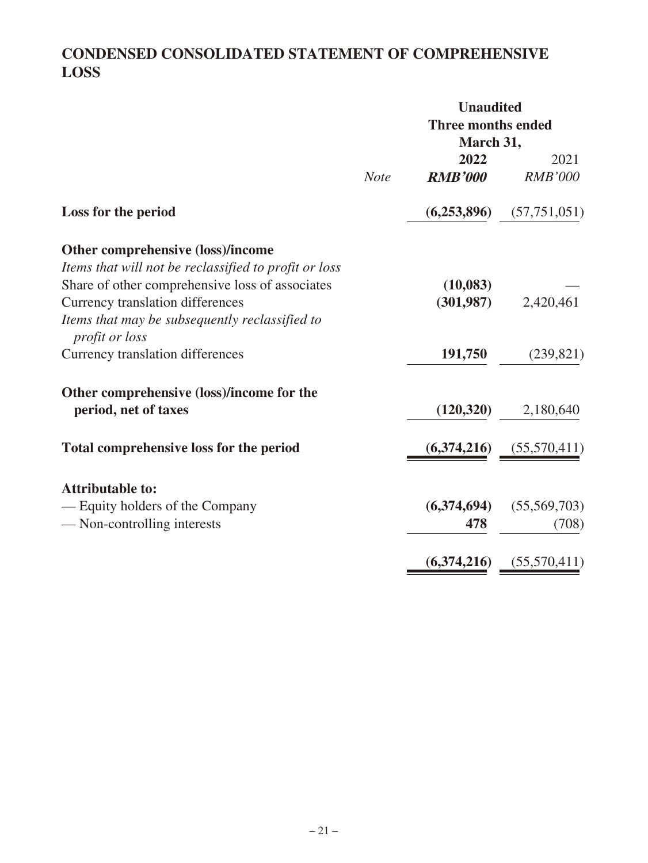# **CONDENSED CONSOLIDATED STATEMENT OF COMPREHENSIVE LOSS**

|                                                                         |             | <b>Unaudited</b><br><b>Three months ended</b><br>March 31, |                        |
|-------------------------------------------------------------------------|-------------|------------------------------------------------------------|------------------------|
|                                                                         | <b>Note</b> | 2022<br><b>RMB'000</b>                                     | 2021<br><b>RMB'000</b> |
| Loss for the period                                                     |             | (6,253,896)                                                | (57, 751, 051)         |
| Other comprehensive (loss)/income                                       |             |                                                            |                        |
| Items that will not be reclassified to profit or loss                   |             |                                                            |                        |
| Share of other comprehensive loss of associates                         |             | (10,083)                                                   |                        |
| Currency translation differences                                        |             | (301,987)                                                  | 2,420,461              |
| Items that may be subsequently reclassified to<br><i>profit or loss</i> |             |                                                            |                        |
| Currency translation differences                                        |             | 191,750                                                    | (239, 821)             |
| Other comprehensive (loss)/income for the                               |             |                                                            |                        |
| period, net of taxes                                                    |             | (120, 320)                                                 | 2,180,640              |
| Total comprehensive loss for the period                                 |             | (6,374,216)                                                | (55,570,411)           |
| <b>Attributable to:</b>                                                 |             |                                                            |                        |
| — Equity holders of the Company                                         |             | (6,374,694)                                                | (55,569,703)           |
| — Non-controlling interests                                             |             | 478                                                        | (708)                  |
|                                                                         |             | (6,374,216)                                                | (55,570,411)           |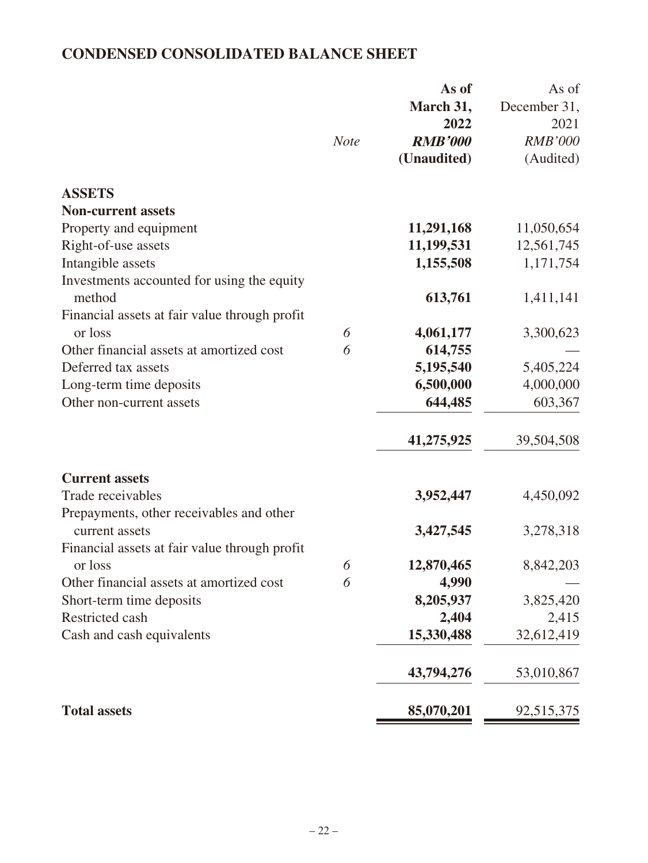# **CONDENSED CONSOLIDATED BALANCE SHEET**

|                                                               | <b>Note</b> | As of<br>March 31,<br>2022<br><b>RMB'000</b><br>(Unaudited) | As of<br>December 31,<br>2021<br><b>RMB'000</b><br>(Audited) |
|---------------------------------------------------------------|-------------|-------------------------------------------------------------|--------------------------------------------------------------|
| <b>ASSETS</b>                                                 |             |                                                             |                                                              |
| <b>Non-current assets</b>                                     |             |                                                             |                                                              |
| Property and equipment                                        |             | 11,291,168                                                  | 11,050,654                                                   |
| Right-of-use assets                                           |             | 11,199,531                                                  | 12,561,745                                                   |
| Intangible assets                                             |             | 1,155,508                                                   | 1,171,754                                                    |
| Investments accounted for using the equity                    |             |                                                             |                                                              |
| method                                                        |             | 613,761                                                     | 1,411,141                                                    |
| Financial assets at fair value through profit<br>or loss      | 6           | 4,061,177                                                   | 3,300,623                                                    |
| Other financial assets at amortized cost                      | 6           | 614,755                                                     |                                                              |
| Deferred tax assets                                           |             | 5,195,540                                                   | 5,405,224                                                    |
| Long-term time deposits                                       |             | 6,500,000                                                   | 4,000,000                                                    |
| Other non-current assets                                      |             | 644,485                                                     | 603,367                                                      |
|                                                               |             |                                                             |                                                              |
|                                                               |             | 41,275,925                                                  | 39,504,508                                                   |
| <b>Current assets</b>                                         |             |                                                             |                                                              |
| Trade receivables<br>Prepayments, other receivables and other |             | 3,952,447                                                   | 4,450,092                                                    |
| current assets                                                |             | 3,427,545                                                   | 3,278,318                                                    |
| Financial assets at fair value through profit                 |             |                                                             |                                                              |
| or loss                                                       | 6           | 12,870,465                                                  | 8,842,203                                                    |
| Other financial assets at amortized cost                      | 6           | 4,990                                                       |                                                              |
| Short-term time deposits                                      |             | 8,205,937                                                   | 3,825,420                                                    |
| Restricted cash                                               |             | 2,404                                                       | 2,415                                                        |
| Cash and cash equivalents                                     |             | 15,330,488                                                  | 32,612,419                                                   |
|                                                               |             | 43,794,276                                                  | 53,010,867                                                   |
| <b>Total assets</b>                                           |             | 85,070,201                                                  | 92,515,375                                                   |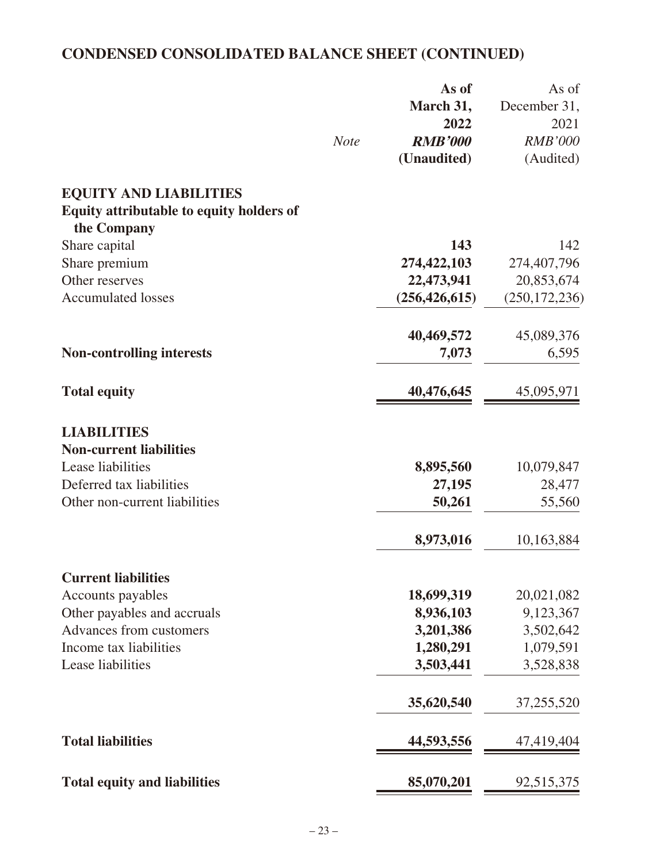# **CONDENSED CONSOLIDATED BALANCE SHEET (CONTINUED)**

|                                                                | <b>Note</b> | As of<br>March 31,<br>2022<br><b>RMB'000</b><br>(Unaudited) | As of<br>December 31,<br>2021<br><b>RMB'000</b><br>(Audited) |
|----------------------------------------------------------------|-------------|-------------------------------------------------------------|--------------------------------------------------------------|
| <b>EQUITY AND LIABILITIES</b>                                  |             |                                                             |                                                              |
| <b>Equity attributable to equity holders of</b><br>the Company |             |                                                             |                                                              |
| Share capital                                                  |             | 143                                                         | 142                                                          |
| Share premium                                                  |             | 274,422,103                                                 | 274,407,796                                                  |
| Other reserves                                                 |             | 22,473,941                                                  | 20,853,674                                                   |
| <b>Accumulated losses</b>                                      |             | (256, 426, 615)                                             | (250, 172, 236)                                              |
|                                                                |             | 40,469,572                                                  | 45,089,376                                                   |
| <b>Non-controlling interests</b>                               |             | 7,073                                                       | 6,595                                                        |
| <b>Total equity</b>                                            |             | 40,476,645                                                  | 45,095,971                                                   |
| <b>LIABILITIES</b>                                             |             |                                                             |                                                              |
| <b>Non-current liabilities</b>                                 |             |                                                             |                                                              |
| Lease liabilities                                              |             | 8,895,560                                                   | 10,079,847                                                   |
| Deferred tax liabilities                                       |             | 27,195                                                      | 28,477                                                       |
| Other non-current liabilities                                  |             | 50,261                                                      | 55,560                                                       |
|                                                                |             | 8,973,016                                                   | 10,163,884                                                   |
| <b>Current liabilities</b>                                     |             |                                                             |                                                              |
| Accounts payables                                              |             | 18,699,319                                                  | 20,021,082                                                   |
| Other payables and accruals                                    |             | 8,936,103                                                   | 9,123,367                                                    |
| Advances from customers                                        |             | 3,201,386                                                   | 3,502,642                                                    |
| Income tax liabilities                                         |             | 1,280,291                                                   | 1,079,591                                                    |
| Lease liabilities                                              |             | 3,503,441                                                   | 3,528,838                                                    |
|                                                                |             | 35,620,540                                                  | 37,255,520                                                   |
| <b>Total liabilities</b>                                       |             | 44,593,556                                                  | 47,419,404                                                   |
| <b>Total equity and liabilities</b>                            |             | 85,070,201                                                  | 92,515,375                                                   |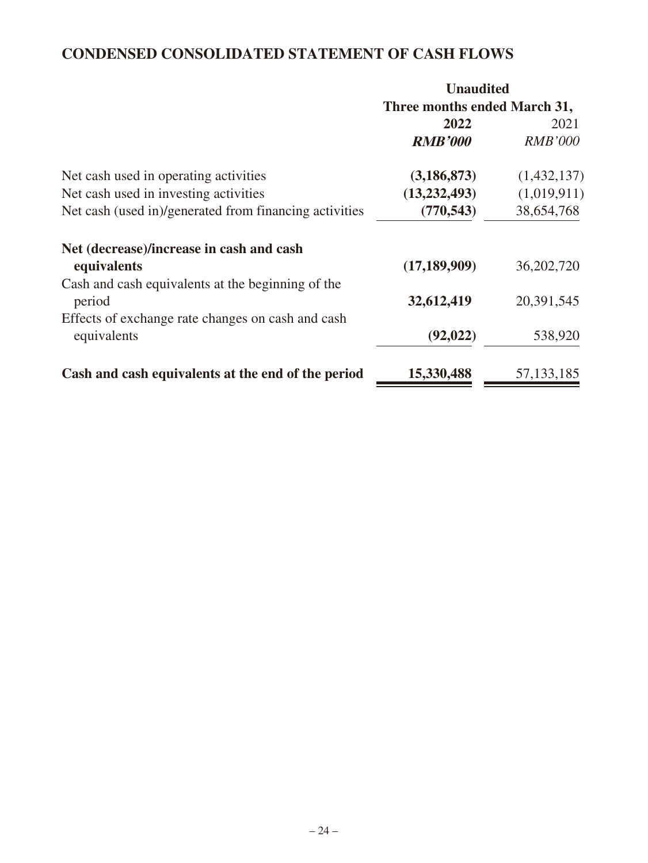## **CONDENSED CONSOLIDATED STATEMENT OF CASH FLOWS**

|                                                        | <b>Unaudited</b>             |                |
|--------------------------------------------------------|------------------------------|----------------|
|                                                        | Three months ended March 31, |                |
|                                                        | 2022                         | 2021           |
|                                                        | <b>RMB'000</b>               | <b>RMB'000</b> |
| Net cash used in operating activities                  | (3, 186, 873)                | (1,432,137)    |
| Net cash used in investing activities                  | (13, 232, 493)               | (1,019,911)    |
| Net cash (used in)/generated from financing activities | (770, 543)                   | 38,654,768     |
| Net (decrease)/increase in cash and cash               |                              |                |
| equivalents                                            | (17, 189, 909)               | 36,202,720     |
| Cash and cash equivalents at the beginning of the      |                              |                |
| period                                                 | 32,612,419                   | 20,391,545     |
| Effects of exchange rate changes on cash and cash      |                              |                |
| equivalents                                            | (92, 022)                    | 538,920        |
| Cash and cash equivalents at the end of the period     | 15,330,488                   | 57, 133, 185   |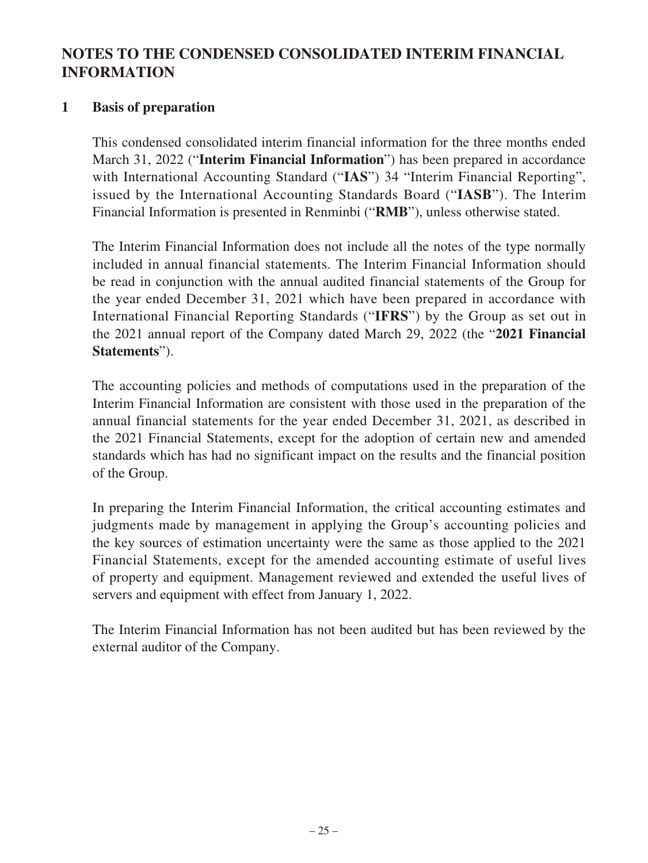## **NOTES TO THE CONDENSED CONSOLIDATED INTERIM FINANCIAL INFORMATION**

## **1 Basis of preparation**

This condensed consolidated interim financial information for the three months ended March 31, 2022 ("**Interim Financial Information**") has been prepared in accordance with International Accounting Standard ("IAS") 34 "Interim Financial Reporting", issued by the International Accounting Standards Board ("**IASB**"). The Interim Financial Information is presented in Renminbi ("**RMB**"), unless otherwise stated.

The Interim Financial Information does not include all the notes of the type normally included in annual financial statements. The Interim Financial Information should be read in conjunction with the annual audited financial statements of the Group for the year ended December 31, 2021 which have been prepared in accordance with International Financial Reporting Standards ("**IFRS**") by the Group as set out in the 2021 annual report of the Company dated March 29, 2022 (the "**2021 Financial Statements**").

The accounting policies and methods of computations used in the preparation of the Interim Financial Information are consistent with those used in the preparation of the annual financial statements for the year ended December 31, 2021, as described in the 2021 Financial Statements, except for the adoption of certain new and amended standards which has had no significant impact on the results and the financial position of the Group.

In preparing the Interim Financial Information, the critical accounting estimates and judgments made by management in applying the Group's accounting policies and the key sources of estimation uncertainty were the same as those applied to the 2021 Financial Statements, except for the amended accounting estimate of useful lives of property and equipment. Management reviewed and extended the useful lives of servers and equipment with effect from January 1, 2022.

The Interim Financial Information has not been audited but has been reviewed by the external auditor of the Company.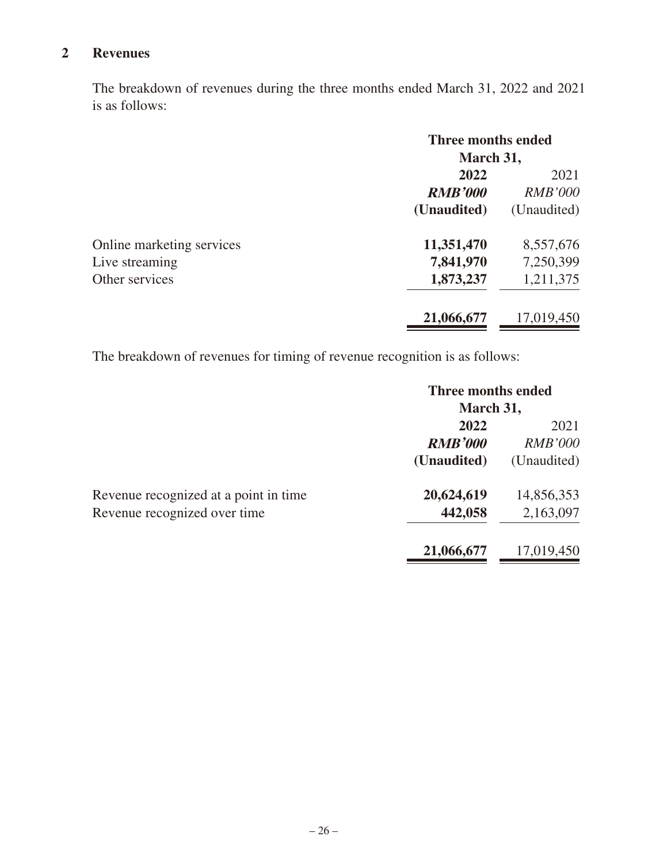## **2 Revenues**

The breakdown of revenues during the three months ended March 31, 2022 and 2021 is as follows:

|                           | Three months ended<br>March 31, |                |
|---------------------------|---------------------------------|----------------|
|                           |                                 |                |
|                           | 2022                            | 2021           |
|                           | <b>RMB'000</b>                  | <b>RMB'000</b> |
|                           | (Unaudited)                     | (Unaudited)    |
| Online marketing services | 11,351,470                      | 8,557,676      |
| Live streaming            | 7,841,970                       | 7,250,399      |
| Other services            | 1,873,237                       | 1,211,375      |
|                           | 21,066,677                      | 17,019,450     |

The breakdown of revenues for timing of revenue recognition is as follows:

|                                       | Three months ended |                |
|---------------------------------------|--------------------|----------------|
|                                       | March 31,          |                |
|                                       | 2022               | 2021           |
|                                       | <b>RMB'000</b>     | <b>RMB'000</b> |
|                                       | (Unaudited)        | (Unaudited)    |
| Revenue recognized at a point in time | 20,624,619         | 14,856,353     |
| Revenue recognized over time          | 442,058            | 2,163,097      |
|                                       | 21,066,677         | 17,019,450     |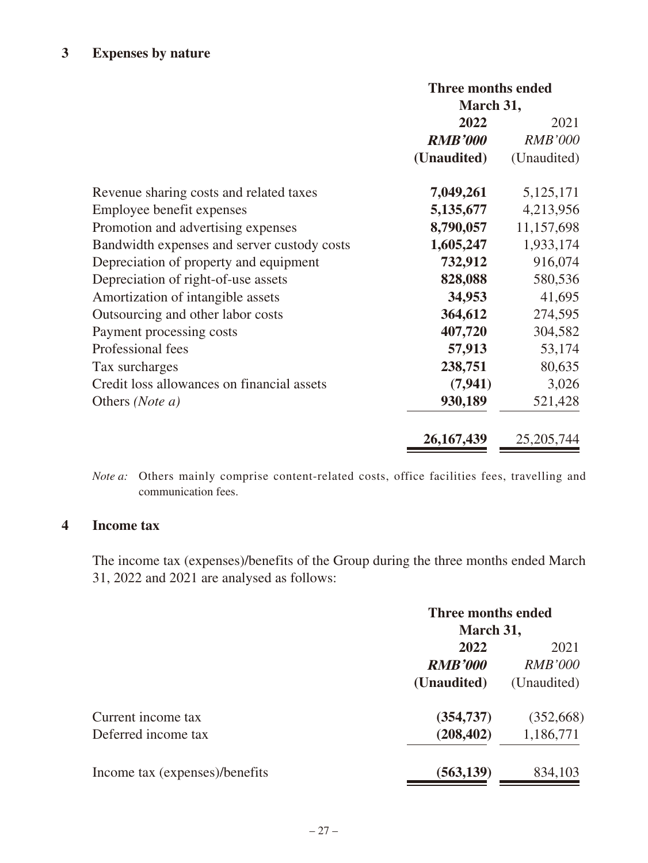## **3 Expenses by nature**

|                                             | Three months ended |                |
|---------------------------------------------|--------------------|----------------|
|                                             | March 31,          |                |
|                                             | 2022               | 2021           |
|                                             | <b>RMB'000</b>     | <b>RMB'000</b> |
|                                             | (Unaudited)        | (Unaudited)    |
| Revenue sharing costs and related taxes     | 7,049,261          | 5,125,171      |
| Employee benefit expenses                   | 5,135,677          | 4,213,956      |
| Promotion and advertising expenses          | 8,790,057          | 11,157,698     |
| Bandwidth expenses and server custody costs | 1,605,247          | 1,933,174      |
| Depreciation of property and equipment      | 732,912            | 916,074        |
| Depreciation of right-of-use assets         | 828,088            | 580,536        |
| Amortization of intangible assets           | 34,953             | 41,695         |
| Outsourcing and other labor costs           | 364,612            | 274,595        |
| Payment processing costs                    | 407,720            | 304,582        |
| Professional fees                           | 57,913             | 53,174         |
| Tax surcharges                              | 238,751            | 80,635         |
| Credit loss allowances on financial assets  | (7, 941)           | 3,026          |
| Others (Note a)                             | 930,189            | 521,428        |
|                                             | 26, 167, 439       | 25, 205, 744   |

*Note a:* Others mainly comprise content-related costs, office facilities fees, travelling and communication fees.

#### **4 Income tax**

The income tax (expenses)/benefits of the Group during the three months ended March 31, 2022 and 2021 are analysed as follows:

|                                | Three months ended<br>March 31, |                |
|--------------------------------|---------------------------------|----------------|
|                                |                                 |                |
|                                | 2022                            | 2021           |
|                                | <b>RMB'000</b>                  | <b>RMB'000</b> |
|                                | (Unaudited)                     | (Unaudited)    |
| Current income tax             | (354, 737)                      | (352,668)      |
| Deferred income tax            | (208, 402)                      | 1,186,771      |
| Income tax (expenses)/benefits | (563, 139)                      | 834,103        |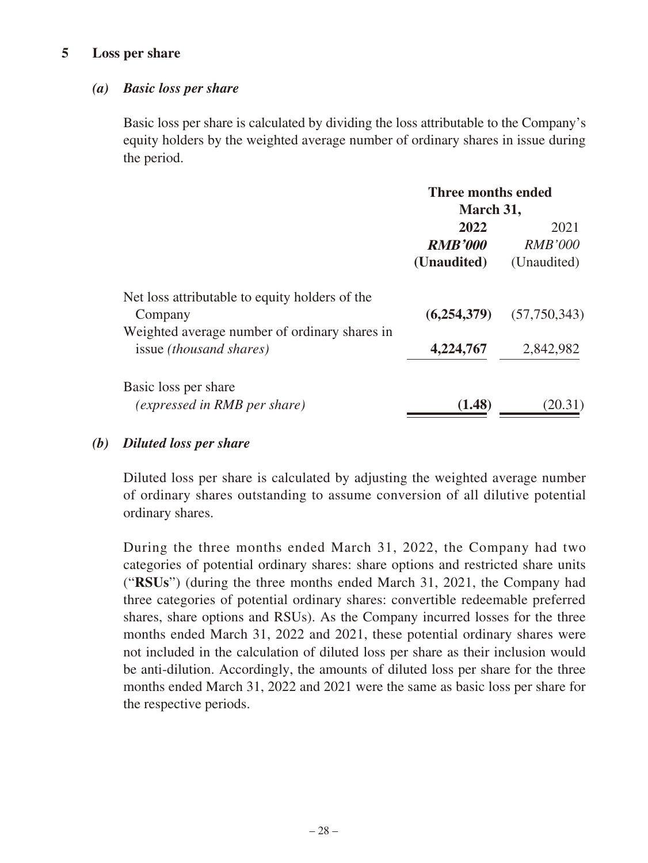#### **5 Loss per share**

#### *(a) Basic loss per share*

Basic loss per share is calculated by dividing the loss attributable to the Company's equity holders by the weighted average number of ordinary shares in issue during the period.

|                                                | Three months ended<br>March 31, |                |
|------------------------------------------------|---------------------------------|----------------|
|                                                |                                 |                |
|                                                | 2022                            | 2021           |
|                                                | <b>RMB'000</b>                  | <i>RMB'000</i> |
|                                                | (Unaudited)                     | (Unaudited)    |
| Net loss attributable to equity holders of the |                                 |                |
| Company                                        | (6,254,379)                     | (57,750,343)   |
| Weighted average number of ordinary shares in  |                                 |                |
| issue <i>(thousand shares)</i>                 | 4,224,767                       | 2,842,982      |
| Basic loss per share                           |                                 |                |
| <i>(expressed in RMB per share)</i>            | (1.48)                          | (20.31)        |
|                                                |                                 |                |

### *(b) Diluted loss per share*

Diluted loss per share is calculated by adjusting the weighted average number of ordinary shares outstanding to assume conversion of all dilutive potential ordinary shares.

During the three months ended March 31, 2022, the Company had two categories of potential ordinary shares: share options and restricted share units ("**RSUs**") (during the three months ended March 31, 2021, the Company had three categories of potential ordinary shares: convertible redeemable preferred shares, share options and RSUs). As the Company incurred losses for the three months ended March 31, 2022 and 2021, these potential ordinary shares were not included in the calculation of diluted loss per share as their inclusion would be anti-dilution. Accordingly, the amounts of diluted loss per share for the three months ended March 31, 2022 and 2021 were the same as basic loss per share for the respective periods.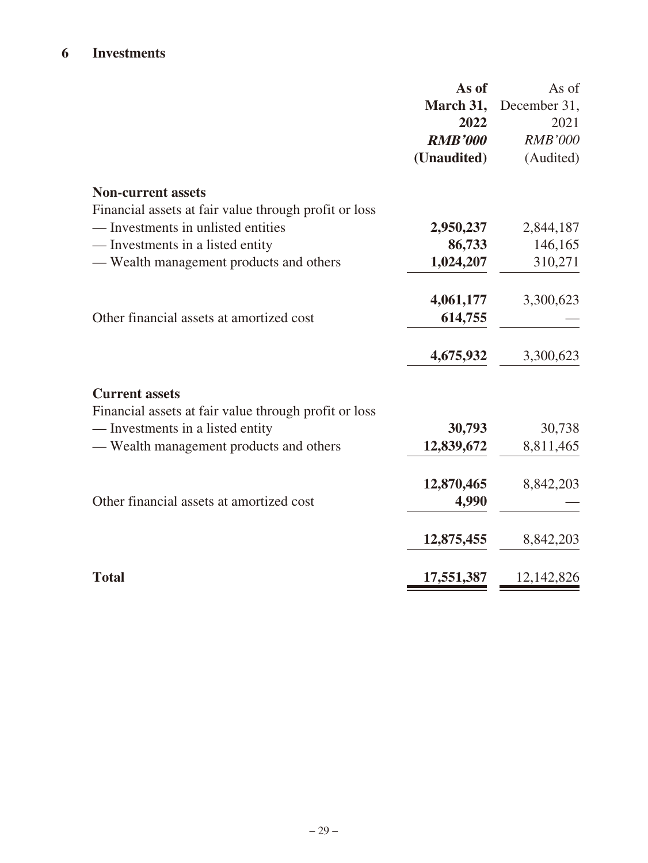## **6 Investments**

|                                                       | As of          | As of          |
|-------------------------------------------------------|----------------|----------------|
|                                                       | March 31,      | December 31,   |
|                                                       | 2022           | 2021           |
|                                                       | <b>RMB'000</b> | <b>RMB'000</b> |
|                                                       | (Unaudited)    | (Audited)      |
| <b>Non-current assets</b>                             |                |                |
| Financial assets at fair value through profit or loss |                |                |
| — Investments in unlisted entities                    | 2,950,237      | 2,844,187      |
| — Investments in a listed entity                      | 86,733         | 146,165        |
| — Wealth management products and others               | 1,024,207      | 310,271        |
|                                                       | 4,061,177      | 3,300,623      |
| Other financial assets at amortized cost              | 614,755        |                |
|                                                       | 4,675,932      | 3,300,623      |
| <b>Current assets</b>                                 |                |                |
| Financial assets at fair value through profit or loss |                |                |
| — Investments in a listed entity                      | 30,793         | 30,738         |
| — Wealth management products and others               | 12,839,672     | 8,811,465      |
|                                                       | 12,870,465     | 8,842,203      |
| Other financial assets at amortized cost              | 4,990          |                |
|                                                       | 12,875,455     | 8,842,203      |
| <b>Total</b>                                          | 17,551,387     | 12,142,826     |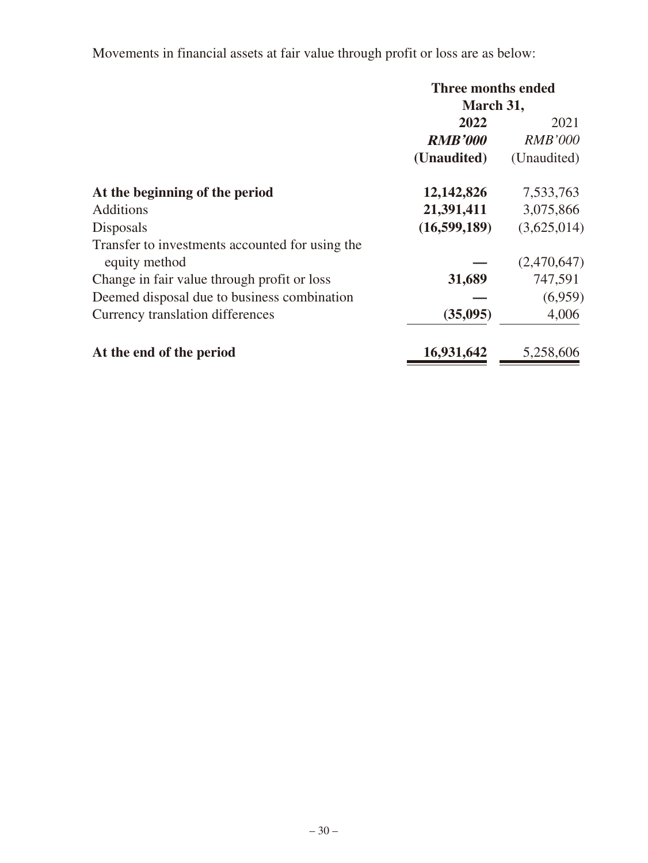Movements in financial assets at fair value through profit or loss are as below:

|                                                 | Three months ended |                |
|-------------------------------------------------|--------------------|----------------|
|                                                 | March 31,          |                |
|                                                 | 2022               | 2021           |
|                                                 | <b>RMB'000</b>     | <b>RMB'000</b> |
|                                                 | (Unaudited)        | (Unaudited)    |
| At the beginning of the period                  | 12,142,826         | 7,533,763      |
| <b>Additions</b>                                | 21,391,411         | 3,075,866      |
| <b>Disposals</b>                                | (16,599,189)       | (3,625,014)    |
| Transfer to investments accounted for using the |                    |                |
| equity method                                   |                    | (2,470,647)    |
| Change in fair value through profit or loss     | 31,689             | 747,591        |
| Deemed disposal due to business combination     |                    | (6,959)        |
| Currency translation differences                | (35,095)           | 4,006          |
| At the end of the period                        | 16,931,642         | 5,258,606      |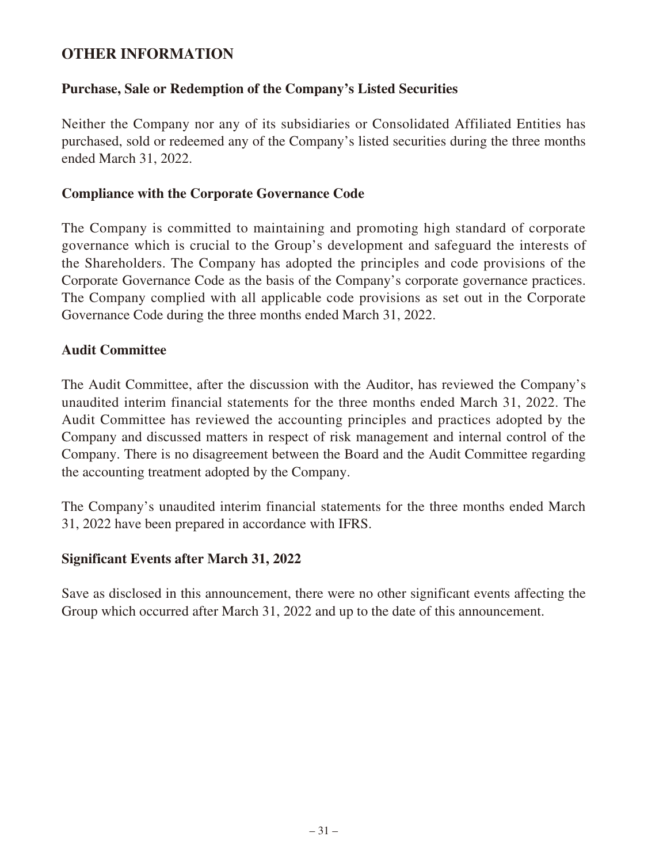## **OTHER INFORMATION**

### **Purchase, Sale or Redemption of the Company's Listed Securities**

Neither the Company nor any of its subsidiaries or Consolidated Affiliated Entities has purchased, sold or redeemed any of the Company's listed securities during the three months ended March 31, 2022.

#### **Compliance with the Corporate Governance Code**

The Company is committed to maintaining and promoting high standard of corporate governance which is crucial to the Group's development and safeguard the interests of the Shareholders. The Company has adopted the principles and code provisions of the Corporate Governance Code as the basis of the Company's corporate governance practices. The Company complied with all applicable code provisions as set out in the Corporate Governance Code during the three months ended March 31, 2022.

#### **Audit Committee**

The Audit Committee, after the discussion with the Auditor, has reviewed the Company's unaudited interim financial statements for the three months ended March 31, 2022. The Audit Committee has reviewed the accounting principles and practices adopted by the Company and discussed matters in respect of risk management and internal control of the Company. There is no disagreement between the Board and the Audit Committee regarding the accounting treatment adopted by the Company.

The Company's unaudited interim financial statements for the three months ended March 31, 2022 have been prepared in accordance with IFRS.

### **Significant Events after March 31, 2022**

Save as disclosed in this announcement, there were no other significant events affecting the Group which occurred after March 31, 2022 and up to the date of this announcement.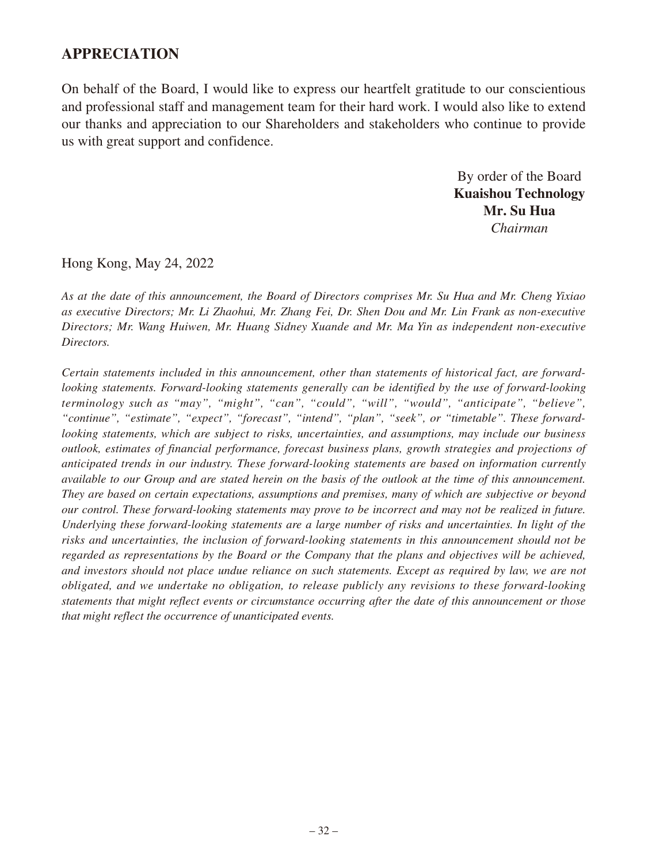## **APPRECIATION**

On behalf of the Board, I would like to express our heartfelt gratitude to our conscientious and professional staff and management team for their hard work. I would also like to extend our thanks and appreciation to our Shareholders and stakeholders who continue to provide us with great support and confidence.

> By order of the Board **Kuaishou Technology Mr. Su Hua** *Chairman*

Hong Kong, May 24, 2022

*As at the date of this announcement, the Board of Directors comprises Mr. Su Hua and Mr. Cheng Yixiao as executive Directors; Mr. Li Zhaohui, Mr. Zhang Fei, Dr. Shen Dou and Mr. Lin Frank as non-executive Directors; Mr. Wang Huiwen, Mr. Huang Sidney Xuande and Mr. Ma Yin as independent non-executive Directors.*

*Certain statements included in this announcement, other than statements of historical fact, are forwardlooking statements. Forward-looking statements generally can be identified by the use of forward-looking terminology such as "may", "might", "can", "could", "will", "would", "anticipate", "believe", "continue", "estimate", "expect", "forecast", "intend", "plan", "seek", or "timetable". These forwardlooking statements, which are subject to risks, uncertainties, and assumptions, may include our business outlook, estimates of financial performance, forecast business plans, growth strategies and projections of anticipated trends in our industry. These forward-looking statements are based on information currently available to our Group and are stated herein on the basis of the outlook at the time of this announcement. They are based on certain expectations, assumptions and premises, many of which are subjective or beyond our control. These forward-looking statements may prove to be incorrect and may not be realized in future. Underlying these forward-looking statements are a large number of risks and uncertainties. In light of the risks and uncertainties, the inclusion of forward-looking statements in this announcement should not be regarded as representations by the Board or the Company that the plans and objectives will be achieved, and investors should not place undue reliance on such statements. Except as required by law, we are not obligated, and we undertake no obligation, to release publicly any revisions to these forward-looking statements that might reflect events or circumstance occurring after the date of this announcement or those that might reflect the occurrence of unanticipated events.*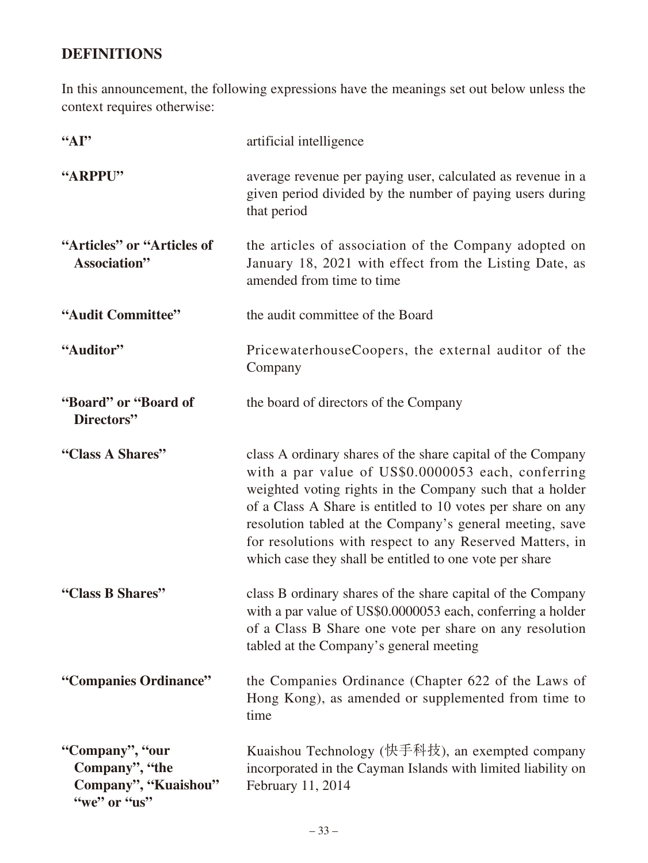# **DEFINITIONS**

In this announcement, the following expressions have the meanings set out below unless the context requires otherwise:

| "AP"                                                                      | artificial intelligence                                                                                                                                                                                                                                                                                                                                                                                                         |
|---------------------------------------------------------------------------|---------------------------------------------------------------------------------------------------------------------------------------------------------------------------------------------------------------------------------------------------------------------------------------------------------------------------------------------------------------------------------------------------------------------------------|
| "ARPPU"                                                                   | average revenue per paying user, calculated as revenue in a<br>given period divided by the number of paying users during<br>that period                                                                                                                                                                                                                                                                                         |
| "Articles" or "Articles of<br>Association"                                | the articles of association of the Company adopted on<br>January 18, 2021 with effect from the Listing Date, as<br>amended from time to time                                                                                                                                                                                                                                                                                    |
| "Audit Committee"                                                         | the audit committee of the Board                                                                                                                                                                                                                                                                                                                                                                                                |
| "Auditor"                                                                 | PricewaterhouseCoopers, the external auditor of the<br>Company                                                                                                                                                                                                                                                                                                                                                                  |
| "Board" or "Board of<br>Directors"                                        | the board of directors of the Company                                                                                                                                                                                                                                                                                                                                                                                           |
| "Class A Shares"                                                          | class A ordinary shares of the share capital of the Company<br>with a par value of US\$0.0000053 each, conferring<br>weighted voting rights in the Company such that a holder<br>of a Class A Share is entitled to 10 votes per share on any<br>resolution tabled at the Company's general meeting, save<br>for resolutions with respect to any Reserved Matters, in<br>which case they shall be entitled to one vote per share |
| "Class B Shares"                                                          | class B ordinary shares of the share capital of the Company<br>with a par value of US\$0.0000053 each, conferring a holder<br>of a Class B Share one vote per share on any resolution<br>tabled at the Company's general meeting                                                                                                                                                                                                |
| "Companies Ordinance"                                                     | the Companies Ordinance (Chapter 622 of the Laws of<br>Hong Kong), as amended or supplemented from time to<br>time                                                                                                                                                                                                                                                                                                              |
| "Company", "our<br>Company", "the<br>Company", "Kuaishou"<br>"we" or "us" | Kuaishou Technology (快手科技), an exempted company<br>incorporated in the Cayman Islands with limited liability on<br>February 11, 2014                                                                                                                                                                                                                                                                                            |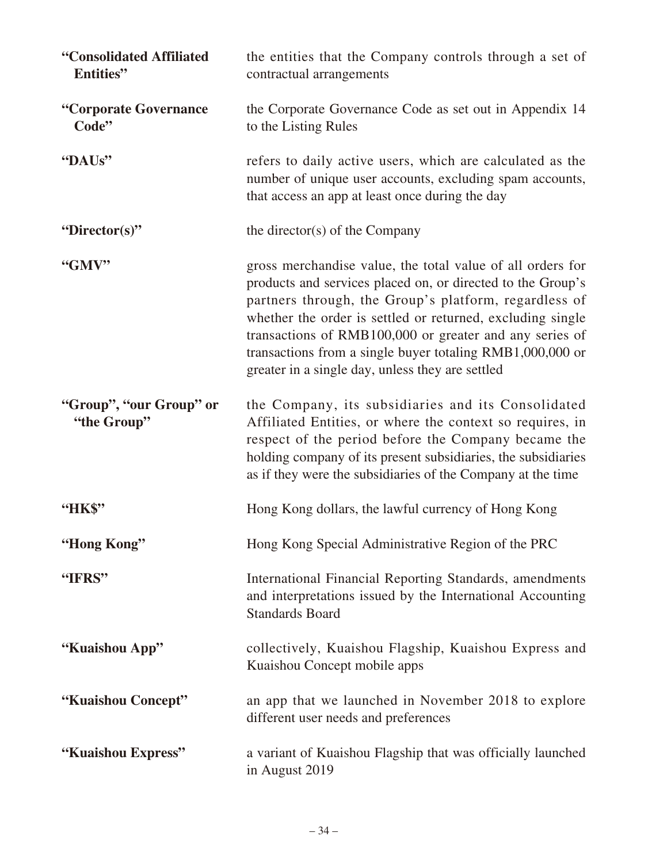| "Consolidated Affiliated<br>Entities"  | the entities that the Company controls through a set of<br>contractual arrangements                                                                                                                                                                                                                                                                                                                                          |
|----------------------------------------|------------------------------------------------------------------------------------------------------------------------------------------------------------------------------------------------------------------------------------------------------------------------------------------------------------------------------------------------------------------------------------------------------------------------------|
| "Corporate Governance<br>Code"         | the Corporate Governance Code as set out in Appendix 14<br>to the Listing Rules                                                                                                                                                                                                                                                                                                                                              |
| "DAUs"                                 | refers to daily active users, which are calculated as the<br>number of unique user accounts, excluding spam accounts,<br>that access an app at least once during the day                                                                                                                                                                                                                                                     |
| "Director(s)"                          | the director(s) of the Company                                                                                                                                                                                                                                                                                                                                                                                               |
| "GMV"                                  | gross merchandise value, the total value of all orders for<br>products and services placed on, or directed to the Group's<br>partners through, the Group's platform, regardless of<br>whether the order is settled or returned, excluding single<br>transactions of RMB100,000 or greater and any series of<br>transactions from a single buyer totaling RMB1,000,000 or<br>greater in a single day, unless they are settled |
| "Group", "our Group" or<br>"the Group" | the Company, its subsidiaries and its Consolidated<br>Affiliated Entities, or where the context so requires, in<br>respect of the period before the Company became the<br>holding company of its present subsidiaries, the subsidiaries<br>as if they were the subsidiaries of the Company at the time                                                                                                                       |
| "HK\$"                                 | Hong Kong dollars, the lawful currency of Hong Kong                                                                                                                                                                                                                                                                                                                                                                          |
| "Hong Kong"                            | Hong Kong Special Administrative Region of the PRC                                                                                                                                                                                                                                                                                                                                                                           |
| "IFRS"                                 | International Financial Reporting Standards, amendments<br>and interpretations issued by the International Accounting<br><b>Standards Board</b>                                                                                                                                                                                                                                                                              |
| "Kuaishou App"                         | collectively, Kuaishou Flagship, Kuaishou Express and<br>Kuaishou Concept mobile apps                                                                                                                                                                                                                                                                                                                                        |
| "Kuaishou Concept"                     | an app that we launched in November 2018 to explore<br>different user needs and preferences                                                                                                                                                                                                                                                                                                                                  |
| "Kuaishou Express"                     | a variant of Kuaishou Flagship that was officially launched<br>in August 2019                                                                                                                                                                                                                                                                                                                                                |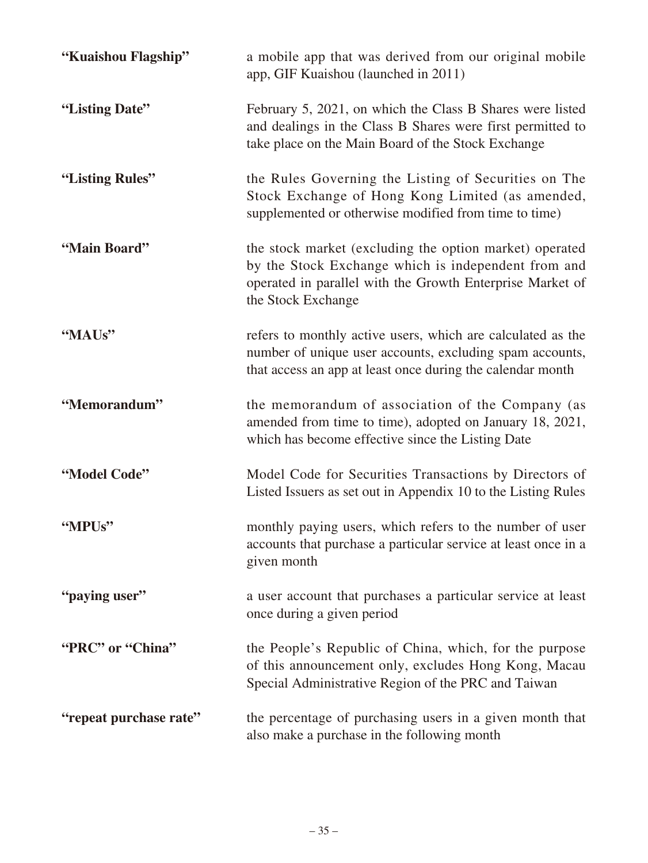| "Kuaishou Flagship"    | a mobile app that was derived from our original mobile<br>app, GIF Kuaishou (launched in 2011)                                                                                                    |
|------------------------|---------------------------------------------------------------------------------------------------------------------------------------------------------------------------------------------------|
| "Listing Date"         | February 5, 2021, on which the Class B Shares were listed<br>and dealings in the Class B Shares were first permitted to<br>take place on the Main Board of the Stock Exchange                     |
| "Listing Rules"        | the Rules Governing the Listing of Securities on The<br>Stock Exchange of Hong Kong Limited (as amended,<br>supplemented or otherwise modified from time to time)                                 |
| "Main Board"           | the stock market (excluding the option market) operated<br>by the Stock Exchange which is independent from and<br>operated in parallel with the Growth Enterprise Market of<br>the Stock Exchange |
| "MAUs"                 | refers to monthly active users, which are calculated as the<br>number of unique user accounts, excluding spam accounts,<br>that access an app at least once during the calendar month             |
| "Memorandum"           | the memorandum of association of the Company (as<br>amended from time to time), adopted on January 18, 2021,<br>which has become effective since the Listing Date                                 |
| "Model Code"           | Model Code for Securities Transactions by Directors of<br>Listed Issuers as set out in Appendix 10 to the Listing Rules                                                                           |
| "MPUs"                 | monthly paying users, which refers to the number of user<br>accounts that purchase a particular service at least once in a<br>given month                                                         |
| "paying user"          | a user account that purchases a particular service at least<br>once during a given period                                                                                                         |
| "PRC" or "China"       | the People's Republic of China, which, for the purpose<br>of this announcement only, excludes Hong Kong, Macau<br>Special Administrative Region of the PRC and Taiwan                             |
| "repeat purchase rate" | the percentage of purchasing users in a given month that<br>also make a purchase in the following month                                                                                           |